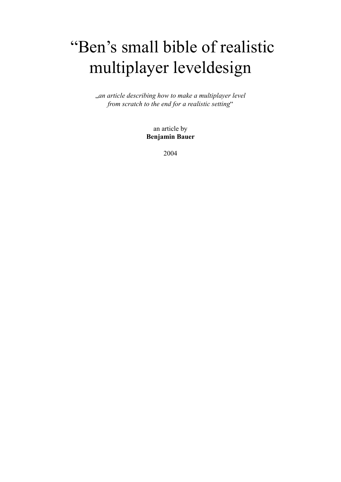# "Ben's small bible of realistic multiplayer leveldesign

"*an article describing how to make a multiplayer level from scratch to the end for a realistic setting*"

> an article by **Benjamin Bauer**

> > 2004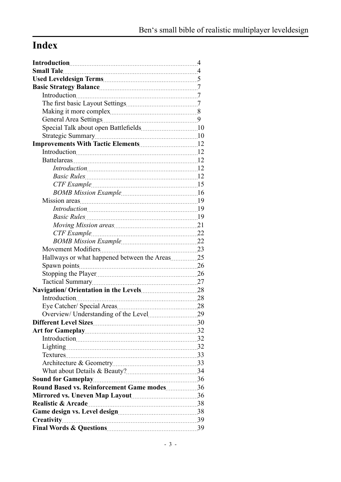# **Index**

| Hallways or what happened between the Areas25 |    |
|-----------------------------------------------|----|
|                                               |    |
|                                               |    |
|                                               |    |
|                                               |    |
|                                               |    |
|                                               |    |
| Overview/ Understanding of the Level          | 29 |
|                                               |    |
|                                               |    |
|                                               |    |
|                                               |    |
|                                               |    |
|                                               |    |
|                                               |    |
|                                               |    |
| Round Based vs. Reinforcement Game modes 36   |    |
|                                               |    |
|                                               |    |
|                                               |    |
|                                               |    |
|                                               |    |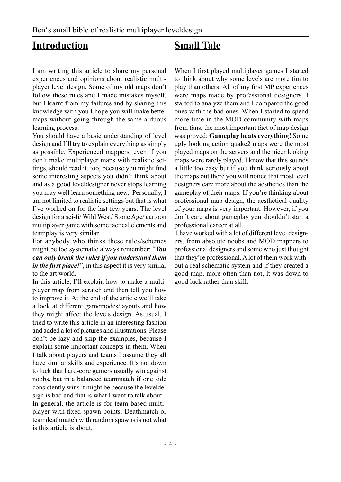# <span id="page-3-0"></span>**Introduction**

# **Small Tale**

I am writing this article to share my personal experiences and opinions about realistic multiplayer level design. Some of my old maps don't follow these rules and I made mistakes myself, but I learnt from my failures and by sharing this knowledge with you I hope you will make better maps without going through the same arduous learning process.

You should have a basic understanding of level design and I`ll try to explain everything as simply as possible. Experienced mappers, even if you don't make multiplayer maps with realistic settings, should read it, too, because you might find some interesting aspects you didn't think about and as a good leveldesigner never stops learning you may well learn something new. Personally, I am not limited to realistic settings but that is what I've worked on for the last few years. The level design for a sci-fi/ Wild West/ Stone Age/ cartoon multiplayer game with some tactical elements and teamplay is very similar.

For anybody who thinks these rules/schemes might be too systematic always remember: "*You can only break the rules if you understand them in the first place!*", in this aspect it is very similar to the art world.

In this article, I'll explain how to make a multiplayer map from scratch and then tell you how to improve it. At the end of the article we'll take a look at different gamemodes/layouts and how they might affect the levels design. As usual, I tried to write this article in an interesting fashion and added a lot of pictures and illustrations. Please don't be lazy and skip the examples, because I explain some important concepts in them. When I talk about players and teams I assume they all have similar skills and experience. It's not down to luck that hard-core gamers usually win against noobs, but in a balanced teammatch if one side consistently wins it might be because the leveldesign is bad and that is what I want to talk about. In general, the article is for team based multiplayer with fixed spawn points. Deathmatch or teamdeathmatch with random spawns is not what is this article is about.

When I first played multiplayer games I started to think about why some levels are more fun to play than others. All of my first MP experiences were maps made by professional designers. I started to analyze them and I compared the good ones with the bad ones. When I started to spend more time in the MOD community with maps from fans, the most important fact of map design was proved: **Gameplay beats everything!** Some ugly looking action quake2 maps were the most played maps on the servers and the nicer looking maps were rarely played. I know that this sounds a little too easy but if you think seriously about the maps out there you will notice that most level designers care more about the aesthetics than the gameplay of their maps. If you're thinking about professional map design, the aesthetical quality of your maps is very important. However, if you don't care about gameplay you shouldn't start a professional career at all.

 I have worked with a lot of different level designers, from absolute noobs and MOD mappers to professional designers and some who just thought that they're professional. A lot of them work without a real schematic system and if they created a good map, more often than not, it was down to good luck rather than skill.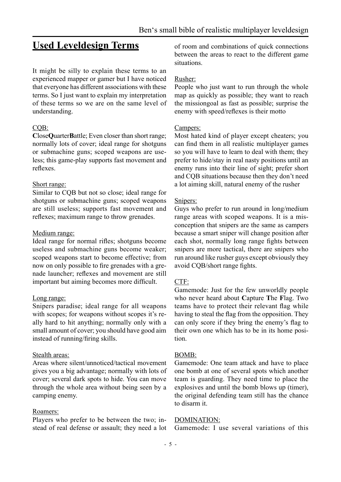# <span id="page-4-0"></span>**Used Leveldesign Terms**

It might be silly to explain these terms to an experienced mapper or gamer but I have noticed that everyone has different associations with these terms. So I just want to explain my interpretation of these terms so we are on the same level of understanding.

#### CQB:

**C**lose**Q**uarter**B**attle; Even closer than short range; normally lots of cover; ideal range for shotguns or submachine guns; scoped weapons are useless; this game-play supports fast movement and reflexes.

#### Short range:

Similar to CQB but not so close; ideal range for shotguns or submachine guns; scoped weapons are still useless; supports fast movement and reflexes; maximum range to throw grenades.

#### Medium range:

Ideal range for normal rifles; shotguns become useless and submachine guns become weaker; scoped weapons start to become effective; from now on only possible to fire grenades with a grenade launcher; reflexes and movement are still important but aiming becomes more difficult.

#### Long range:

Snipers paradise; ideal range for all weapons with scopes; for weapons without scopes it's really hard to hit anything; normally only with a small amount of cover; you should have good aim instead of running/firing skills.

#### Stealth areas:

Areas where silent/unnoticed/tactical movement gives you a big advantage; normally with lots of cover; several dark spots to hide. You can move through the whole area without being seen by a camping enemy.

#### Roamers:

Players who prefer to be between the two; instead of real defense or assault; they need a lot of room and combinations of quick connections between the areas to react to the different game situations.

#### Rusher:

People who just want to run through the whole map as quickly as possible; they want to reach the missiongoal as fast as possible; surprise the enemy with speed/reflexes is their motto

#### Campers:

Most hated kind of player except cheaters; you can find them in all realistic multiplayer games so you will have to learn to deal with them; they prefer to hide/stay in real nasty positions until an enemy runs into their line of sight; prefer short and CQB situations because then they don't need a lot aiming skill, natural enemy of the rusher

#### Snipers:

Guys who prefer to run around in long/medium range areas with scoped weapons. It is a misconception that snipers are the same as campers because a smart sniper will change position after each shot, normally long range fights between snipers are more tactical, there are snipers who run around like rusher guys except obviously they avoid CQB/short range fights.

#### CTF:

Gamemode: Just for the few unworldly people who never heard about **C**apture **T**he **F**lag. Two teams have to protect their relevant flag while having to steal the flag from the opposition. They can only score if they bring the enemy's flag to their own one which has to be in its home position.

#### BOMB:

Gamemode: One team attack and have to place one bomb at one of several spots which another team is guarding. They need time to place the explosives and until the bomb blows up (timer), the original defending team still has the chance to disarm it.

#### DOMINATION:

Gamemode: I use several variations of this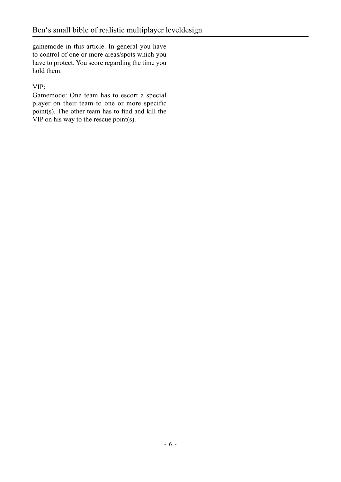gamemode in this article. In general you have to control of one or more areas/spots which you have to protect. You score regarding the time you hold them.

### VIP:

Gamemode: One team has to escort a special player on their team to one or more specific point(s). The other team has to find and kill the VIP on his way to the rescue point(s).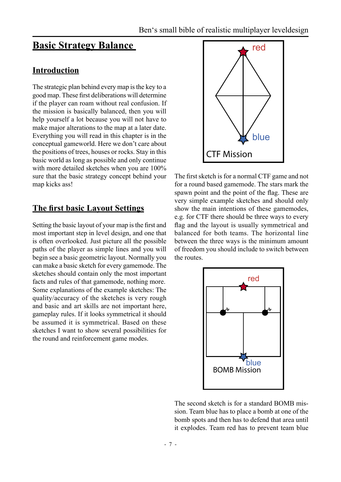# <span id="page-6-0"></span>**Basic Strategy Balance**

### **Introduction**

The strategic plan behind every map is the key to a good map. These first deliberations will determine if the player can roam without real confusion. If the mission is basically balanced, then you will help yourself a lot because you will not have to make major alterations to the map at a later date. Everything you will read in this chapter is in the conceptual gameworld. Here we don't care about the positions of trees, houses or rocks. Stay in this basic world as long as possible and only continue with more detailed sketches when you are 100% sure that the basic strategy concept behind your map kicks ass!

### **The first basic Layout Settings**

Setting the basic layout of your map is the first and most important step in level design, and one that is often overlooked. Just picture all the possible paths of the player as simple lines and you will begin see a basic geometric layout. Normally you can make a basic sketch for every gamemode. The sketches should contain only the most important facts and rules of that gamemode, nothing more. Some explanations of the example sketches: The quality/accuracy of the sketches is very rough and basic and art skills are not important here, gameplay rules. If it looks symmetrical it should be assumed it is symmetrical. Based on these sketches I want to show several possibilities for the round and reinforcement game modes.



The first sketch is for a normal CTF game and not for a round based gamemode. The stars mark the spawn point and the point of the flag. These are very simple example sketches and should only show the main intentions of these gamemodes, e.g. for CTF there should be three ways to every flag and the layout is usually symmetrical and balanced for both teams. The horizontal line between the three ways is the minimum amount of freedom you should include to switch between the routes.



The second sketch is for a standard BOMB mission. Team blue has to place a bomb at one of the bomb spots and then has to defend that area until it explodes. Team red has to prevent team blue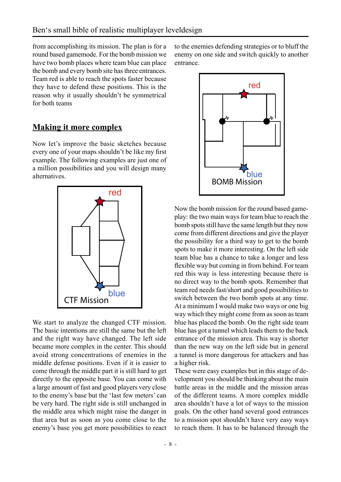<span id="page-7-0"></span>from accomplishing its mission. The plan is for a round based gamemode. For the bomb mission we have two bomb places where team blue can place the bomb and every bomb site has three entrances. Team red is able to reach the spots faster because they have to defend these positions. This is the reason why it usually shouldn't be symmetrical for both teams

### **Making it more complex**

Now let's improve the basic sketches because every one of your maps shouldn't be like my first example. The following examples are just one of a million possibilities and you will design many alternatives.



We start to analyze the changed CTF mission. The basic intentions are still the same but the left and the right way have changed. The left side became more complex in the center. This should avoid strong concentrations of enemies in the middle defense positions. Even if it is easier to come through the middle part it is still hard to get directly to the opposite base. You can come with a large amount of fast and good players very close to the enemy's base but the 'last few meters' can be very hard. The right side is still unchanged in the middle area which might raise the danger in that area but as soon as you come close to the enemy's base you get more possibilities to react

to the enemies defending strategies or to bluff the enemy on one side and switch quickly to another entrance.



Now the bomb mission for the round based gameplay: the two main ways for team blue to reach the bomb spots still have the same length but they now come from different directions and give the player the possibility for a third way to get to the bomb spots to make it more interesting. On the left side team blue has a chance to take a longer and less flexible way but coming in from behind. For team red this way is less interesting because there is no direct way to the bomb spots. Remember that team red needs fast/short and good possibilities to switch between the two bomb spots at any time. At a minimum I would make two ways or one big way which they might come from as soon as team blue has placed the bomb. On the right side team blue has got a tunnel which leads them to the back entrance of the mission area. This way is shorter than the new way on the left side but in general a tunnel is more dangerous for attackers and has a higher risk.

These were easy examples but in this stage of development you should be thinking about the main battle areas in the middle and the mission areas of the different teams. A more complex middle area shouldn't have a lot of ways to the mission goals. On the other hand several good entrances to a mission spot shouldn't have very easy ways to reach them. It has to be balanced through the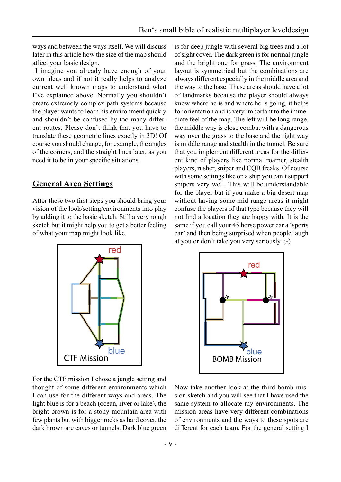<span id="page-8-0"></span>ways and between the ways itself. We will discuss later in this article how the size of the map should affect your basic design.

 I imagine you already have enough of your own ideas and if not it really helps to analyze current well known maps to understand what I've explained above. Normally you shouldn't create extremely complex path systems because the player wants to learn his environment quickly and shouldn't be confused by too many different routes. Please don't think that you have to translate these geometric lines exactly in 3D! Of course you should change, for example, the angles of the corners, and the straight lines later, as you need it to be in your specific situations.

### **General Area Settings**

After these two first steps you should bring your vision of the look/setting/environments into play by adding it to the basic sketch. Still a very rough sketch but it might help you to get a better feeling of what your map might look like.

is for deep jungle with several big trees and a lot of sight cover. The dark green is for normal jungle and the bright one for grass. The environment layout is symmetrical but the combinations are always different especially in the middle area and the way to the base. These areas should have a lot of landmarks because the player should always know where he is and where he is going, it helps for orientation and is very important to the immediate feel of the map. The left will be long range, the middle way is close combat with a dangerous way over the grass to the base and the right way is middle range and stealth in the tunnel. Be sure that you implement different areas for the different kind of players like normal roamer, stealth players, rusher, sniper and CQB freaks. Of course with some settings like on a ship you can't support snipers very well. This will be understandable for the player but if you make a big desert map without having some mid range areas it might confuse the players of that type because they will not find a location they are happy with. It is the same if you call your 45 horse power car a 'sports car' and then being surprised when people laugh at you or don't take you very seriously ;-)



For the CTF mission I chose a jungle setting and thought of some different environments which I can use for the different ways and areas. The light blue is for a beach (ocean, river or lake), the bright brown is for a stony mountain area with few plants but with bigger rocks as hard cover, the dark brown are caves or tunnels. Dark blue green



Now take another look at the third bomb mission sketch and you will see that I have used the same system to allocate my environments. The mission areas have very different combinations of environments and the ways to these spots are different for each team. For the general setting I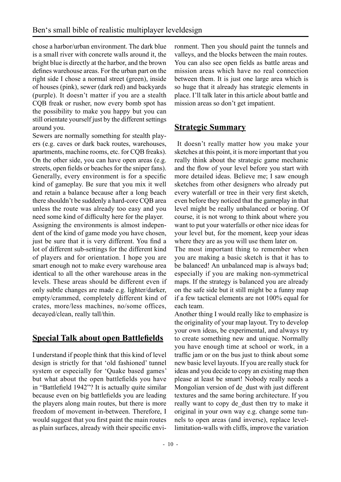<span id="page-9-0"></span>chose a harbor/urban environment. The dark blue is a small river with concrete walls around it, the bright blue is directly at the harbor, and the brown defines warehouse areas. For the urban part on the right side I chose a normal street (green), inside of houses (pink), sewer (dark red) and backyards (purple). It doesn't matter if you are a stealth CQB freak or rusher, now every bomb spot has the possibility to make you happy but you can still orientate yourself just by the different settings around you.

Sewers are normally something for stealth players (e.g. caves or dark back routes, warehouses, apartments, machine rooms, etc. for CQB freaks). On the other side, you can have open areas (e.g. streets, open fields or beaches for the sniper fans). Generally, every environment is for a specific kind of gameplay. Be sure that you mix it well and retain a balance because after a long beach there shouldn't be suddenly a hard-core CQB area unless the route was already too easy and you need some kind of difficulty here for the player.

Assigning the environments is almost independent of the kind of game mode you have chosen, just be sure that it is very different. You find a lot of different sub-settings for the different kind of players and for orientation. I hope you are smart enough not to make every warehouse area identical to all the other warehouse areas in the levels. These areas should be different even if only subtle changes are made e.g. lighter/darker, empty/crammed, completely different kind of crates, more/less machines, no/some offices, decayed/clean, really tall/thin.

# **Special Talk about open Battlefields**

I understand if people think that this kind of level design is strictly for that 'old fashioned' tunnel system or especially for 'Quake based games' but what about the open battlefields you have in "Battlefield 1942"? It is actually quite similar because even on big battlefields you are leading the players along main routes, but there is more freedom of movement in-between. Therefore, I would suggest that you first paint the main routes as plain surfaces, already with their specific envi-

ronment. Then you should paint the tunnels and valleys, and the blocks between the main routes. You can also see open fields as battle areas and mission areas which have no real connection between them. It is just one large area which is so huge that it already has strategic elements in place. I'll talk later in this article about battle and mission areas so don't get impatient.

### **Strategic Summary**

 It doesn't really matter how you make your sketches at this point, it is more important that you really think about the strategic game mechanic and the flow of your level before you start with more detailed ideas. Believe me; I saw enough sketches from other designers who already put every waterfall or tree in their very first sketch, even before they noticed that the gameplay in that level might be really unbalanced or boring. Of course, it is not wrong to think about where you want to put your waterfalls or other nice ideas for your level but, for the moment, keep your ideas where they are as you will use them later on.

The most important thing to remember when you are making a basic sketch is that it has to be balanced! An unbalanced map is always bad; especially if you are making non-symmetrical maps. If the strategy is balanced you are already on the safe side but it still might be a funny map if a few tactical elements are not 100% equal for each team.

Another thing I would really like to emphasize is the originality of your map layout. Try to develop your own ideas, be experimental, and always try to create something new and unique. Normally you have enough time at school or work, in a traffic jam or on the bus just to think about some new basic level layouts. If you are really stuck for ideas and you decide to copy an existing map then please at least be smart! Nobody really needs a Mongolian version of de\_dust with just different textures and the same boring architecture. If you really want to copy de dust then try to make it original in your own way e.g. change some tunnels to open areas (and inverse), replace levellimitation-walls with cliffs, improve the variation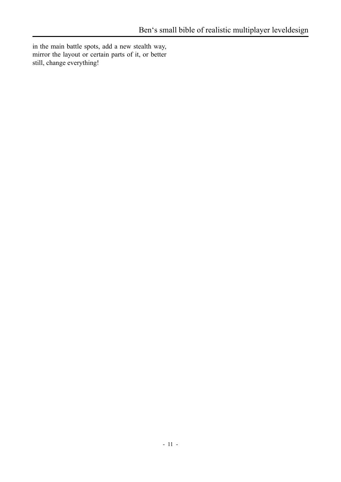in the main battle spots, add a new stealth way, mirror the layout or certain parts of it, or better still, change everything!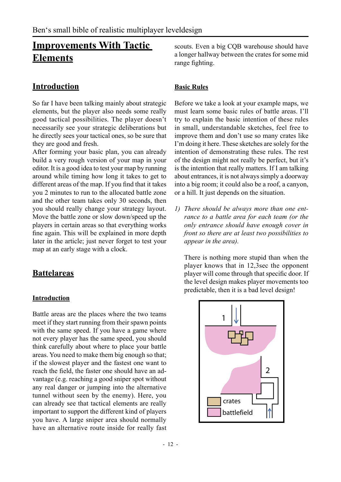# <span id="page-11-0"></span>**Improvements With Tactic Elements**

### **Introduction**

So far I have been talking mainly about strategic elements, but the player also needs some really good tactical possibilities. The player doesn't necessarily see your strategic deliberations but he directly sees your tactical ones, so be sure that they are good and fresh.

After forming your basic plan, you can already build a very rough version of your map in your editor. It is a good idea to test your map by running around while timing how long it takes to get to different areas of the map. If you find that it takes you 2 minutes to run to the allocated battle zone and the other team takes only 30 seconds, then you should really change your strategy layout. Move the battle zone or slow down/speed up the players in certain areas so that everything works fine again. This will be explained in more depth later in the article; just never forget to test your map at an early stage with a clock.

### **Battelareas**

#### **Introduction**

Battle areas are the places where the two teams meet if they start running from their spawn points with the same speed. If you have a game where not every player has the same speed, you should think carefully about where to place your battle areas. You need to make them big enough so that; if the slowest player and the fastest one want to reach the field, the faster one should have an advantage (e.g. reaching a good sniper spot without any real danger or jumping into the alternative tunnel without seen by the enemy). Here, you can already see that tactical elements are really important to support the different kind of players you have. A large sniper area should normally have an alternative route inside for really fast

scouts. Even a big CQB warehouse should have a longer hallway between the crates for some mid range fighting.

#### **Basic Rules**

Before we take a look at your example maps, we must learn some basic rules of battle areas. I'll try to explain the basic intention of these rules in small, understandable sketches, feel free to improve them and don't use so many crates like I'm doing it here. These sketches are solely for the intention of demonstrating these rules. The rest of the design might not really be perfect, but it's is the intention that really matters. If I am talking about entrances, it is not always simply a doorway into a big room; it could also be a roof, a canyon, or a hill. It just depends on the situation.

*1) There should be always more than one entrance to a battle area for each team (or the only entrance should have enough cover in front so there are at least two possibilities to appear in the area).* 

 There is nothing more stupid than when the player knows that in 12,3sec the opponent player will come through that specific door. If the level design makes player movements too predictable, then it is a bad level design!

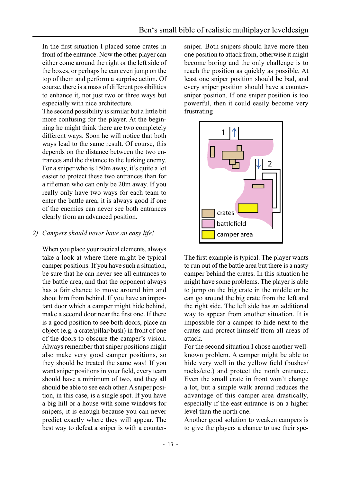In the first situation I placed some crates in front of the entrance. Now the other player can either come around the right or the left side of the boxes, or perhaps he can even jump on the top of them and perform a surprise action. Of course, there is a mass of different possibilities to enhance it, not just two or three ways but especially with nice architecture.

 The second possibility is similar but a little bit more confusing for the player. At the beginning he might think there are two completely different ways. Soon he will notice that both ways lead to the same result. Of course, this depends on the distance between the two entrances and the distance to the lurking enemy. For a sniper who is 150m away, it's quite a lot easier to protect these two entrances than for a rifleman who can only be 20m away. If you really only have two ways for each team to enter the battle area, it is always good if one of the enemies can never see both entrances clearly from an advanced position.

#### *2) Campers should never have an easy life!*

 When you place your tactical elements, always take a look at where there might be typical camper positions. If you have such a situation, be sure that he can never see all entrances to the battle area, and that the opponent always has a fair chance to move around him and shoot him from behind. If you have an important door which a camper might hide behind, make a second door near the first one. If there is a good position to see both doors, place an object (e.g. a crate/pillar/bush) in front of one of the doors to obscure the camper's vision. Always remember that sniper positions might also make very good camper positions, so they should be treated the same way! If you want sniper positions in your field, every team should have a minimum of two, and they all should be able to see each other. A sniper position, in this case, is a single spot. If you have a big hill or a house with some windows for snipers, it is enough because you can never predict exactly where they will appear. The best way to defeat a sniper is with a countersniper. Both snipers should have more then one position to attack from, otherwise it might become boring and the only challenge is to reach the position as quickly as possible. At least one sniper position should be bad, and every sniper position should have a countersniper position. If one sniper position is too powerful, then it could easily become very frustrating



 The first example is typical. The player wants to run out of the battle area but there is a nasty camper behind the crates. In this situation he might have some problems. The player is able to jump on the big crate in the middle or he can go around the big crate from the left and the right side. The left side has an additional way to appear from another situation. It is impossible for a camper to hide next to the crates and protect himself from all areas of attack.

 For the second situation I chose another wellknown problem. A camper might be able to hide very well in the yellow field (bushes/ rocks/etc.) and protect the north entrance. Even the small crate in front won't change a lot, but a simple walk around reduces the advantage of this camper area drastically, especially if the east entrance is on a higher level than the north one.

 Another good solution to weaken campers is to give the players a chance to use their spe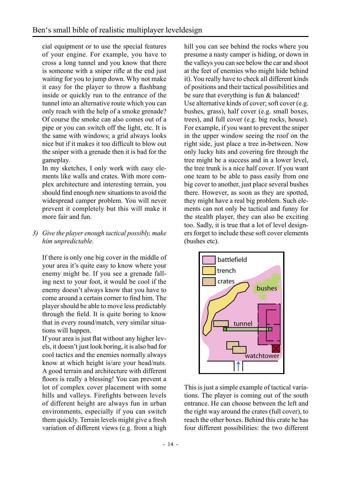cial equipment or to use the special features of your engine. For example, you have to cross a long tunnel and you know that there is someone with a sniper rifle at the end just waiting for you to jump down. Why not make it easy for the player to throw a flashbang inside or quickly run to the entrance of the tunnel into an alternative route which you can only reach with the help of a smoke grenade? Of course the smoke can also comes out of a pipe or you can switch off the light, etc. It is the same with windows; a grid always looks nice but if it makes it too difficult to blow out the sniper with a grenade then it is bad for the gameplay.

 In my sketches, I only work with easy elements like walls and crates. With more complex architecture and interesting terrain, you should find enough new situations to avoid the widespread camper problem. You will never prevent it completely but this will make it more fair and fun.

*3) Give the player enough tactical possibly, make him unpredictable.*

 If there is only one big cover in the middle of your area it's quite easy to know where your enemy might be. If you see a grenade falling next to your foot, it would be cool if the enemy doesn't always know that you have to come around a certain corner to find him. The player should be able to move less predictably through the field. It is quite boring to know that in every round/match, very similar situations will happen.

 If your area is just flat without any higher levels, it doesn't just look boring, it is also bad for cool tactics and the enemies normally always know at which height is/are your head/nuts. A good terrain and architecture with different floors is really a blessing! You can prevent a lot of complex cover placement with some hills and valleys. Firefights between levels of different height are always fun in urban environments, especially if you can switch them quickly. Terrain levels might give a fresh variation of different views (e.g. from a high

hill you can see behind the rocks where you presume a nasty camper is hiding, or down in the valleys you can see below the car and shoot at the feet of enemies who might hide behind it). You really have to check all different kinds of positions and their tactical possibilities and be sure that everything is fun & balanced! Use alternative kinds of cover; soft cover (e.g. bushes, grass), half cover (e.g. small boxes, trees), and full cover (e.g. big rocks, house). For example, if you want to prevent the sniper in the upper window seeing the roof on the right side, just place a tree in-between. Now only lucky hits and covering fire through the tree might be a success and in a lower level, the tree trunk is a nice half cover. If you want one team to be able to pass easily from one big cover to another, just place several bushes there. However, as soon as they are spotted, they might have a real big problem. Such elements can not only be tactical and funny for the stealth player, they can also be exciting too. Sadly, it is true that a lot of level designers forget to include these soft cover elements (bushes etc).



 This is just a simple example of tactical variations. The player is coming out of the south entrance. He can choose between the left and the right way around the crates (full cover), to reach the other boxes. Behind this crate he has four different possibilities: the two different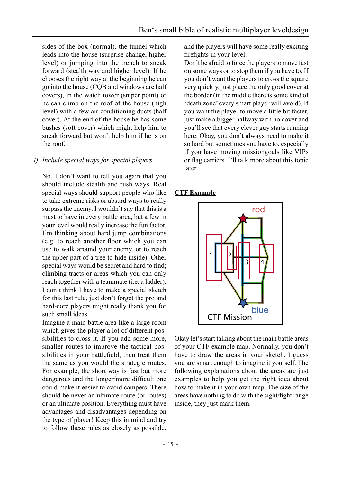<span id="page-14-0"></span>sides of the box (normal), the tunnel which leads into the house (surprise change, higher level) or jumping into the trench to sneak forward (stealth way and higher level). If he chooses the right way at the beginning he can go into the house (CQB and windows are half covers), in the watch tower (sniper point) or he can climb on the roof of the house (high level) with a few air-conditioning ducts (half cover). At the end of the house he has some bushes (soft cover) which might help him to sneak forward but won't help him if he is on the roof.

#### *4) Include special ways for special players.*

 No, I don't want to tell you again that you should include stealth and rush ways. Real special ways should support people who like to take extreme risks or absurd ways to really surpass the enemy. I wouldn't say that this is a must to have in every battle area, but a few in your level would really increase the fun factor. I'm thinking about hard jump combinations (e.g. to reach another floor which you can use to walk around your enemy, or to reach the upper part of a tree to hide inside). Other special ways would be secret and hard to find; climbing tracts or areas which you can only reach together with a teammate (i.e. a ladder). I don't think I have to make a special sketch for this last rule, just don't forget the pro and hard-core players might really thank you for such small ideas.

 Imagine a main battle area like a large room which gives the player a lot of different possibilities to cross it. If you add some more, smaller routes to improve the tactical possibilities in your battlefield, then treat them the same as you would the strategic routes. For example, the short way is fast but more dangerous and the longer/more difficult one could make it easier to avoid campers. There should be never an ultimate route (or routes) or an ultimate position. Everything must have advantages and disadvantages depending on the type of player! Keep this in mind and try to follow these rules as closely as possible, and the players will have some really exciting firefights in your level.

 Don't be afraid to force the players to move fast on some ways or to stop them if you have to. If you don't want the players to cross the square very quickly, just place the only good cover at the border (in the middle there is some kind of 'death zone' every smart player will avoid). If you want the player to move a little bit faster, just make a bigger hallway with no cover and you'll see that every clever guy starts running here. Okay, you don't always need to make it so hard but sometimes you have to, especially if you have moving missiongoals like VIPs or flag carriers. I'll talk more about this topic later.

#### **CTF Example**



Okay let's start talking about the main battle areas of your CTF example map. Normally, you don't have to draw the areas in your sketch. I guess you are smart enough to imagine it yourself. The following explanations about the areas are just examples to help you get the right idea about how to make it in your own map. The size of the areas have nothing to do with the sight/fight range inside, they just mark them.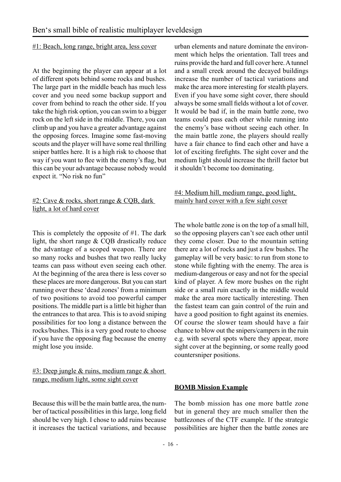#### <span id="page-15-0"></span>#1: Beach, long range, bright area, less cover

At the beginning the player can appear at a lot of different spots behind some rocks and bushes. The large part in the middle beach has much less cover and you need some backup support and cover from behind to reach the other side. If you take the high risk option, you can swim to a bigger rock on the left side in the middle. There, you can climb up and you have a greater advantage against the opposing forces. Imagine some fast-moving scouts and the player will have some real thrilling sniper battles here. It is a high risk to choose that way if you want to flee with the enemy's flag, but this can be your advantage because nobody would expect it. "No risk no fun"

#### #2: Cave & rocks, short range & CQB, dark light, a lot of hard cover

This is completely the opposite of #1. The dark light, the short range & CQB drastically reduce the advantage of a scoped weapon. There are so many rocks and bushes that two really lucky teams can pass without even seeing each other. At the beginning of the area there is less cover so these places are more dangerous. But you can start running over these 'dead zones' from a minimum of two positions to avoid too powerful camper positions. The middle part is a little bit higher than the entrances to that area. This is to avoid sniping possibilities for too long a distance between the rocks/bushes. This is a very good route to choose if you have the opposing flag because the enemy might lose you inside.

 $#3$ : Deep jungle & ruins, medium range & short range, medium light, some sight cover

Because this will be the main battle area, the number of tactical possibilities in this large, long field should be very high. I chose to add ruins because it increases the tactical variations, and because

urban elements and nature dominate the environment which helps the orientation. Tall trees and ruins provide the hard and full cover here. A tunnel and a small creek around the decayed buildings increase the number of tactical variations and make the area more interesting for stealth players. Even if you have some sight cover, there should always be some small fields without a lot of cover. It would be bad if, in the main battle zone, two teams could pass each other while running into the enemy's base without seeing each other. In the main battle zone, the players should really have a fair chance to find each other and have a lot of exciting firefights. The sight cover and the medium light should increase the thrill factor but it shouldn't become too dominating.

#### #4: Medium hill, medium range, good light, mainly hard cover with a few sight cover

The whole battle zone is on the top of a small hill, so the opposing players can't see each other until they come closer. Due to the mountain setting there are a lot of rocks and just a few bushes. The gameplay will be very basic: to run from stone to stone while fighting with the enemy. The area is medium-dangerous or easy and not for the special kind of player. A few more bushes on the right side or a small ruin exactly in the middle would make the area more tactically interesting. Then the fastest team can gain control of the ruin and have a good position to fight against its enemies. Of course the slower team should have a fair chance to blow out the snipers/campers in the ruin e.g. with several spots where they appear, more sight cover at the beginning, or some really good countersniper positions.

#### **BOMB Mission Example**

The bomb mission has one more battle zone but in general they are much smaller then the battlezones of the CTF example. If the strategic possibilities are higher then the battle zones are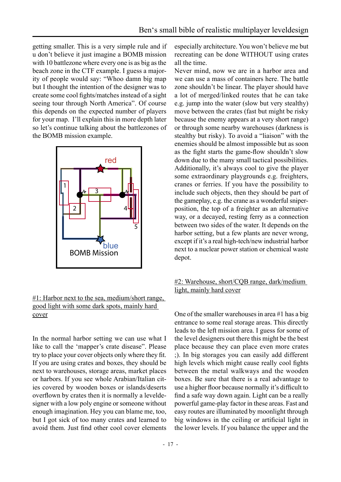getting smaller. This is a very simple rule and if u don't believe it just imagine a BOMB mission with 10 battlezone where every one is as big as the beach zone in the CTF example. I guess a majority of people would say: "Whoo damn big map but I thought the intention of the designer was to create some cool fights/matches instead of a sight seeing tour through North America". Of course this depends on the expected number of players for your map. I'll explain this in more depth later so let's continue talking about the battlezones of the BOMB mission example.



#### #1: Harbor next to the sea, medium/short range, good light with some dark spots, mainly hard cover

In the normal harbor setting we can use what I like to call the 'mapper's crate disease". Please try to place your cover objects only where they fit. If you are using crates and boxes, they should be next to warehouses, storage areas, market places or harbors. If you see whole Arabian/Italian cities covered by wooden boxes or islands/deserts overflown by crates then it is normally a leveldesigner with a low poly engine or someone without enough imagination. Hey you can blame me, too, but I got sick of too many crates and learned to avoid them. Just find other cool cover elements

especially architecture. You won't believe me but recreating can be done WITHOUT using crates all the time.

Never mind, now we are in a harbor area and we can use a mass of containers here. The battle zone shouldn't be linear. The player should have a lot of merged/linked routes that he can take e.g. jump into the water (slow but very stealthy) move between the crates (fast but might be risky because the enemy appears at a very short range) or through some nearby warehouses (darkness is stealthy but risky). To avoid a "liaison" with the enemies should be almost impossible but as soon as the fight starts the game-flow shouldn't slow down due to the many small tactical possibilities. Additionally, it's always cool to give the player some extraordinary playgrounds e.g. freighters, cranes or ferries. If you have the possibility to include such objects, then they should be part of the gameplay, e.g. the crane as a wonderful sniperposition, the top of a freighter as an alternative way, or a decayed, resting ferry as a connection between two sides of the water. It depends on the harbor setting, but a few plants are never wrong, except if it's a real high-tech/new industrial harbor next to a nuclear power station or chemical waste depot.

#### #2: Warehouse, short/CQB range, dark/medium light, mainly hard cover

One of the smaller warehouses in area #1 has a big entrance to some real storage areas. This directly leads to the left mission area. I guess for some of the level designers out there this might be the best place because they can place even more crates ;). In big storages you can easily add different high levels which might cause really cool fights between the metal walkways and the wooden boxes. Be sure that there is a real advantage to use a higher floor because normally it's difficult to find a safe way down again. Light can be a really powerful game-play factor in these areas. Fast and easy routes are illuminated by moonlight through big windows in the ceiling or artificial light in the lower levels. If you balance the upper and the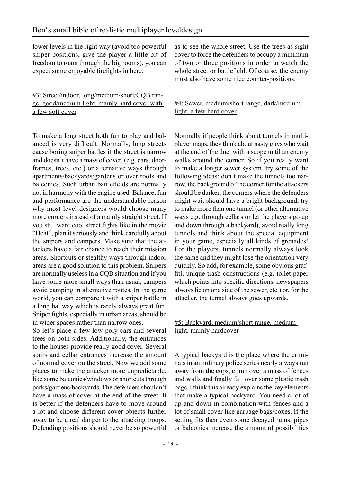lower levels in the right way (avoid too powerful sniper-positions, give the player a little bit of freedom to roam through the big rooms), you can expect some enjoyable firefights in here.

#### #3: Street/indoor, long/medium/short/CQB range, good/medium light, mainly hard cover with a few soft cover

To make a long street both fun to play and balanced is very difficult. Normally, long streets cause boring sniper battles if the street is narrow and doesn't have a mass of cover, (e.g. cars, doorframes, trees, etc.) or alternative ways through apartments/backyards/gardens or over roofs and balconies. Such urban battlefields are normally not in harmony with the engine used. Balance, fun and performance are the understandable reason why most level designers would choose many more corners instead of a mainly straight street. If you still want cool street fights like in the movie "Heat", plan it seriously and think carefully about the snipers and campers. Make sure that the attackers have a fair chance to reach their mission areas. Shortcuts or stealthy ways through indoor areas are a good solution to this problem. Snipers are normally useless in a CQB situation and if you have some more small ways than usual, campers avoid camping in alternative routes. In the game world, you can compare it with a sniper battle in a long hallway which is rarely always great fun. Sniper fights, especially in urban areas, should be in wider spaces rather than narrow ones.

So let's place a few low poly cars and several trees on both sides. Additionally, the entrances to the houses provide really good cover. Several stairs and cellar entrances increase the amount of normal cover on the street. Now we add some places to make the attacker more unpredictable, like some balconies/windows or shortcuts through parks/gardens/backyards. The defenders shouldn't have a mass of cover at the end of the street. It is better if the defenders have to move around a lot and choose different cover objects further away to be a real danger to the attacking troops. Defending positions should never be so powerful

as to see the whole street. Use the trees as sight cover to force the defenders to occupy a minimum of two or three positions in order to watch the whole street or battlefield. Of course, the enemy must also have some nice counter-positions.

#### #4: Sewer, medium/short range, dark/medium light, a few hard cover

Normally if people think about tunnels in multiplayer maps, they think about nasty guys who wait at the end of the duct with a scope until an enemy walks around the corner. So if you really want to make a longer sewer system, try some of the following ideas: don't make the tunnels too narrow, the background of the corner for the attackers should be darker, the corners where the defenders might wait should have a bright background, try to make more than one tunnel (or other alternative ways e.g. through cellars or let the players go up and down through a backyard), avoid really long tunnels and think about the special equipment in your game, especially all kinds of grenades! For the players, tunnels normally always look the same and they might lose the orientation very quickly. So add, for example, some obvious graffiti, unique trash constructions (e.g. toilet paper which points into specific directions, newspapers always lie on one side of the sewer, etc.) or, for the attacker, the tunnel always goes upwards.

#### #5: Backyard, medium/short range, medium light, mainly hardcover

A typical backyard is the place where the criminals in an ordinary police series nearly always run away from the cops, climb over a mass of fences and walls and finally fall over some plastic trash bags. I think this already explains the key elements that make a typical backyard. You need a lot of up and down in combination with fences and a lot of small cover like garbage bags/boxes. If the setting fits then even some decayed ruins, pipes or balconies increase the amount of possibilities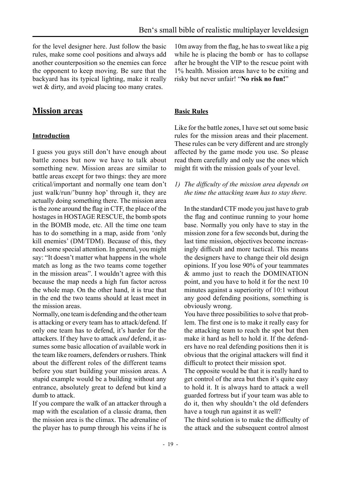<span id="page-18-0"></span>for the level designer here. Just follow the basic rules, make some cool positions and always add another counterposition so the enemies can force the opponent to keep moving. Be sure that the backyard has its typical lighting, make it really wet & dirty, and avoid placing too many crates.

### **Mission areas**

#### **Introduction**

I guess you guys still don't have enough about battle zones but now we have to talk about something new. Mission areas are similar to battle areas except for two things: they are more critical/important and normally one team don't just walk/run/'bunny hop' through it, they are actually doing something there. The mission area is the zone around the flag in CTF, the place of the hostages in HOSTAGE RESCUE, the bomb spots in the BOMB mode, etc. All the time one team has to do something in a map, aside from 'only kill enemies' (DM/TDM). Because of this, they need some special attention. In general, you might say: "It doesn't matter what happens in the whole match as long as the two teams come together in the mission areas". I wouldn't agree with this because the map needs a high fun factor across the whole map. On the other hand, it is true that in the end the two teams should at least meet in the mission areas.

Normally, one team is defending and the other team is attacking or every team has to attack/defend. If only one team has to defend, it's harder for the attackers. If they have to attack *and* defend, it assumes some basic allocation of available work in the team like roamers, defenders or rushers. Think about the different roles of the different teams before you start building your mission areas. A stupid example would be a building without any entrance, absolutely great to defend but kind a dumb to attack.

If you compare the walk of an attacker through a map with the escalation of a classic drama, then the mission area is the climax. The adrenaline of the player has to pump through his veins if he is

10m away from the flag, he has to sweat like a pig while he is placing the bomb or has to collapse after he brought the VIP to the rescue point with 1% health. Mission areas have to be exiting and risky but never unfair! "**No risk no fun!**"

#### **Basic Rules**

Like for the battle zones, I have set out some basic rules for the mission areas and their placement. These rules can be very different and are strongly affected by the game mode you use. So please read them carefully and only use the ones which might fit with the mission goals of your level.

*1) The difficulty of the mission area depends on the time the attacking team has to stay there.* 

 In the standard CTF mode you just have to grab the flag and continue running to your home base. Normally you only have to stay in the mission zone for a few seconds but, during the last time mission, objectives become increasingly difficult and more tactical. This means the designers have to change their old design opinions. If you lose 90% of your teammates & ammo just to reach the DOMINATION point, and you have to hold it for the next 10 minutes against a superiority of 10:1 without any good defending positions, something is obviously wrong.

 You have three possibilities to solve that problem. The first one is to make it really easy for the attacking team to reach the spot but then make it hard as hell to hold it. If the defenders have no real defending positions then it is obvious that the original attackers will find it difficult to protect their mission spot.

 The opposite would be that it is really hard to get control of the area but then it's quite easy to hold it. It is always hard to attack a well guarded fortress but if your team was able to do it, then why shouldn't the old defenders have a tough run against it as well?

 The third solution is to make the difficulty of the attack and the subsequent control almost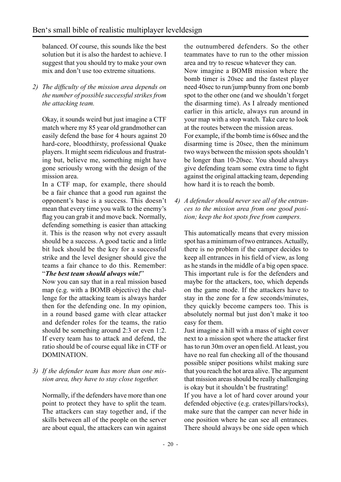balanced. Of course, this sounds like the best solution but it is also the hardest to achieve. I suggest that you should try to make your own mix and don't use too extreme situations.

*2) The difficulty of the mission area depends on the number of possible successful strikes from the attacking team.* 

 Okay, it sounds weird but just imagine a CTF match where my 85 year old grandmother can easily defend the base for 4 hours against 20 hard-core, bloodthirsty, professional Quake players. It might seem ridiculous and frustrating but, believe me, something might have gone seriously wrong with the design of the mission area.

 In a CTF map, for example, there should be a fair chance that a good run against the opponent's base is a success. This doesn't mean that every time you walk to the enemy's flag you can grab it and move back. Normally, defending something is easier than attacking it. This is the reason why not every assault should be a success. A good tactic and a little bit luck should be the key for a successful strike and the level designer should give the teams a fair chance to do this. Remember: "*The best team should always win!*"

 Now you can say that in a real mission based map (e.g. with a BOMB objective) the challenge for the attacking team is always harder then for the defending one. In my opinion, in a round based game with clear attacker and defender roles for the teams, the ratio should be something around 2:3 or even 1:2. If every team has to attack and defend, the ratio should be of course equal like in CTF or DOMINATION.

*3) If the defender team has more than one mission area, they have to stay close together.* 

 Normally, if the defenders have more than one point to protect they have to split the team. The attackers can stay together and, if the skills between all of the people on the server are about equal, the attackers can win against the outnumbered defenders. So the other teammates have to run to the other mission area and try to rescue whatever they can. Now imagine a BOMB mission where the bomb timer is 20sec and the fastest player need 40sec to run/jump/bunny from one bomb spot to the other one (and we shouldn't forget the disarming time). As I already mentioned earlier in this article, always run around in your map with a stop watch. Take care to look at the routes between the mission areas. For example, if the bomb time is 60sec and the disarming time is 20sec, then the minimum two ways between the mission spots shouldn't be longer than 10-20sec. You should always give defending team some extra time to fight against the original attacking team, depending how hard it is to reach the bomb.

*4) A defender should never see all of the entrances to the mission area from one good position; keep the hot spots free from campers.* 

 This automatically means that every mission spot has a minimum of two entrances. Actually, there is no problem if the camper decides to keep all entrances in his field of view, as long as he stands in the middle of a big open space. This important rule is for the defenders and maybe for the attackers, too, which depends on the game mode. If the attackers have to stay in the zone for a few seconds/minutes, they quickly become campers too. This is absolutely normal but just don't make it too easy for them.

 Just imagine a hill with a mass of sight cover next to a mission spot where the attacker first has to run 30m over an open field. At least, you have no real fun checking all of the thousand possible sniper positions whilst making sure that you reach the hot area alive. The argument that mission areas should be really challenging is okay but it shouldn't be frustrating!

 If you have a lot of hard cover around your defended objective (e.g. crates/pillars/rocks), make sure that the camper can never hide in one position where he can see all entrances. There should always be one side open which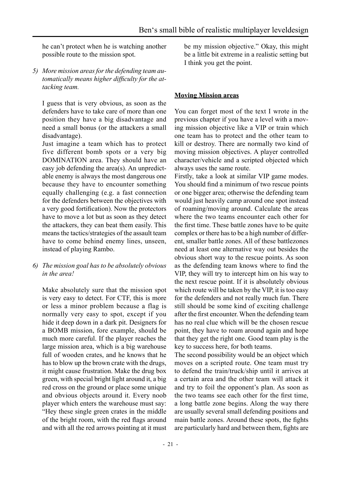<span id="page-20-0"></span>he can't protect when he is watching another possible route to the mission spot.

*5) More mission areas for the defending team automatically means higher difficulty for the attacking team.* 

 I guess that is very obvious, as soon as the defenders have to take care of more than one position they have a big disadvantage and need a small bonus (or the attackers a small disadvantage).

 Just imagine a team which has to protect five different bomb spots or a very big DOMINATION area. They should have an easy job defending the area(s). An unpredictable enemy is always the most dangerous one because they have to encounter something equally challenging (e.g. a fast connection for the defenders between the objectives with a very good fortification). Now the protectors have to move a lot but as soon as they detect the attackers, they can beat them easily. This means the tactics/strategies of the assault team have to come behind enemy lines, unseen, instead of playing Rambo.

*6) The mission goal has to be absolutely obvious in the area!* 

 Make absolutely sure that the mission spot is very easy to detect. For CTF, this is more or less a minor problem because a flag is normally very easy to spot, except if you hide it deep down in a dark pit. Designers for a BOMB mission, fore example, should be much more careful. If the player reaches the large mission area, which is a big warehouse full of wooden crates, and he knows that he has to blow up the brown crate with the drugs, it might cause frustration. Make the drug box green, with special bright light around it, a big red cross on the ground or place some unique and obvious objects around it. Every noob player which enters the warehouse must say: "Hey these single green crates in the middle of the bright room, with the red flags around and with all the red arrows pointing at it must be my mission objective." Okay, this might be a little bit extreme in a realistic setting but I think you get the point.

#### **Moving Mission areas**

You can forget most of the text I wrote in the previous chapter if you have a level with a moving mission objective like a VIP or train which one team has to protect and the other team to kill or destroy. There are normally two kind of moving mission objectives. A player controlled character/vehicle and a scripted objected which always uses the same route.

Firstly, take a look at similar VIP game modes. You should find a minimum of two rescue points or one bigger area; otherwise the defending team would just heavily camp around one spot instead of roaming/moving around. Calculate the areas where the two teams encounter each other for the first time. These battle zones have to be quite complex or there has to be a high number of different, smaller battle zones. All of these battlezones need at least one alternative way out besides the obvious short way to the rescue points. As soon as the defending team knows where to find the VIP, they will try to intercept him on his way to the next rescue point. If it is absolutely obvious which route will be taken by the VIP, it is too easy for the defenders and not really much fun. There still should be some kind of exciting challenge after the first encounter. When the defending team has no real clue which will be the chosen rescue point, they have to roam around again and hope that they get the right one. Good team play is the key to success here, for both teams.

The second possibility would be an object which moves on a scripted route. One team must try to defend the train/truck/ship until it arrives at a certain area and the other team will attack it and try to foil the opponent's plan. As soon as the two teams see each other for the first time, a long battle zone begins. Along the way there are usually several small defending positions and main battle zones. Around these spots, the fights are particularly hard and between them, fights are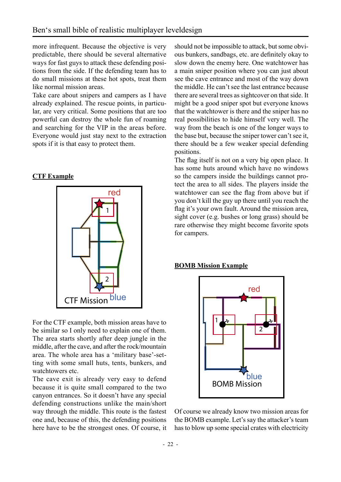<span id="page-21-0"></span>more infrequent. Because the objective is very predictable, there should be several alternative ways for fast guys to attack these defending positions from the side. If the defending team has to do small missions at these hot spots, treat them like normal mission areas.

Take care about snipers and campers as I have already explained. The rescue points, in particular, are very critical. Some positions that are too powerful can destroy the whole fun of roaming and searching for the VIP in the areas before. Everyone would just stay next to the extraction spots if it is that easy to protect them.

#### **CTF Example**



For the CTF example, both mission areas have to be similar so I only need to explain one of them. The area starts shortly after deep jungle in the middle, after the cave, and after the rock/mountain area. The whole area has a 'military base'-setting with some small huts, tents, bunkers, and watchtowers etc.

The cave exit is already very easy to defend because it is quite small compared to the two canyon entrances. So it doesn't have any special defending constructions unlike the main/short way through the middle. This route is the fastest one and, because of this, the defending positions here have to be the strongest ones. Of course, it

should not be impossible to attack, but some obvious bunkers, sandbags, etc. are definitely okay to slow down the enemy here. One watchtower has a main sniper position where you can just about see the cave entrance and most of the way down the middle. He can't see the last entrance because there are several trees as sightcover on that side. It might be a good sniper spot but everyone knows that the watchtower is there and the sniper has no real possibilities to hide himself very well. The way from the beach is one of the longer ways to the base but, because the sniper tower can't see it, there should be a few weaker special defending positions.

The flag itself is not on a very big open place. It has some huts around which have no windows so the campers inside the buildings cannot protect the area to all sides. The players inside the watchtower can see the flag from above but if you don't kill the guy up there until you reach the flag it's your own fault. Around the mission area, sight cover (e.g. bushes or long grass) should be rare otherwise they might become favorite spots for campers.

#### **BOMB Mission Example**



Of course we already know two mission areas for the BOMB example. Let's say the attacker's team has to blow up some special crates with electricity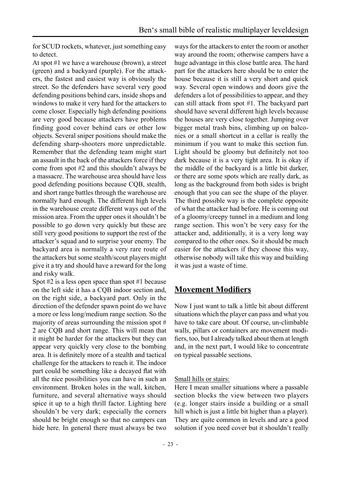<span id="page-22-0"></span>for SCUD rockets, whatever, just something easy to detect.

At spot #1 we have a warehouse (brown), a street (green) and a backyard (purple). For the attackers, the fastest and easiest way is obviously the street. So the defenders have several very good defending positions behind cars, inside shops and windows to make it very hard for the attackers to come closer. Especially high defending positions are very good because attackers have problems finding good cover behind cars or other low objects. Several sniper positions should make the defending sharp-shooters more unpredictable. Remember that the defending team might start an assault in the back of the attackers force if they come from spot #2 and this shouldn't always be a massacre. The warehouse area should have less good defending positions because CQB, stealth, and short range battles through the warehouse are normally hard enough. The different high levels in the warehouse create different ways out of the mission area. From the upper ones it shouldn't be possible to go down very quickly but these are still very good positions to support the rest of the attacker's squad and to surprise your enemy. The backyard area is normally a very rare route of the attackers but some stealth/scout players might give it a try and should have a reward for the long and risky walk.

Spot #2 is a less open space than spot #1 because on the left side it has a CQB indoor section and, on the right side, a backyard part. Only in the direction of the defender spawn point do we have a more or less long/medium range section. So the majority of areas surrounding the mission spot  $#$ 2 are CQB and short range. This will mean that it might be harder for the attackers but they can appear very quickly very close to the bombing area. It is definitely more of a stealth and tactical challenge for the attackers to reach it. The indoor part could be something like a decayed flat with all the nice possibilities you can have in such an environment. Broken holes in the wall, kitchen, furniture, and several alternative ways should spice it up to a high thrill factor. Lighting here shouldn't be very dark; especially the corners should be bright enough so that no campers can hide here. In general there must always be two

ways for the attackers to enter the room or another way around the room; otherwise campers have a huge advantage in this close battle area. The hard part for the attackers here should be to enter the house because it is still a very short and quick way. Several open windows and doors give the defenders a lot of possibilities to appear, and they can still attack from spot #1. The backyard part should have several different high levels because the houses are very close together. Jumping over bigger metal trash bins, climbing up on balconies or a small shortcut in a cellar is really the minimum if you want to make this section fun. Light should be gloomy but definitely not too dark because it is a very tight area. It is okay if the middle of the backyard is a little bit darker, or there are some spots which are really dark, as long as the background from both sides is bright enough that you can see the shape of the player. The third possible way is the complete opposite of what the attacker had before. He is coming out of a gloomy/creepy tunnel in a medium and long range section. This won't be very easy for the attacker and, additionally, it is a very long way compared to the other ones. So it should be much easier for the attackers if they choose this way, otherwise nobody will take this way and building it was just a waste of time.

### **Movement Modifiers**

Now I just want to talk a little bit about different situations which the player can pass and what you have to take care about. Of course, un-climbable walls, pillars or containers are movement modifiers, too, but I already talked about them at length and, in the next part, I would like to concentrate on typical passable sections.

#### Small hills or stairs:

Here I mean smaller situations where a passable section blocks the view between two players (e.g. longer stairs inside a building or a small hill which is just a little bit higher than a player). They are quite common in levels and are a good solution if you need cover but it shouldn't really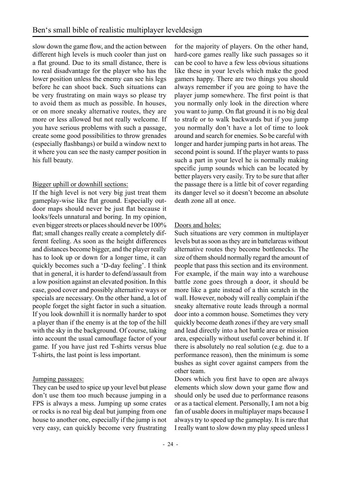slow down the game flow, and the action between different high levels is much cooler than just on a flat ground. Due to its small distance, there is no real disadvantage for the player who has the lower position unless the enemy can see his legs before he can shoot back. Such situations can be very frustrating on main ways so please try to avoid them as much as possible. In houses, or on more sneaky alternative routes, they are more or less allowed but not really welcome. If you have serious problems with such a passage, create some good possibilities to throw grenades (especially flashbangs) or build a window next to it where you can see the nasty camper position in his full beauty.

#### Bigger uphill or downhill sections:

If the high level is not very big just treat them gameplay-wise like flat ground. Especially outdoor maps should never be just flat because it looks/feels unnatural and boring. In my opinion, even bigger streets or places should never be 100% flat; small changes really create a completely different feeling. As soon as the height differences and distances become bigger, and the player really has to look up or down for a longer time, it can quickly becomes such a 'D-day feeling'. I think that in general, it is harder to defend/assault from a low position against an elevated position. In this case, good cover and possibly alternative ways or specials are necessary. On the other hand, a lot of people forget the sight factor in such a situation. If you look downhill it is normally harder to spot a player than if the enemy is at the top of the hill with the sky in the background. Of course, taking into account the usual camouflage factor of your game. If you have just red T-shirts versus blue T-shirts, the last point is less important.

#### Jumping passages:

They can be used to spice up your level but please don't use them too much because jumping in a FPS is always a mess. Jumping up some crates or rocks is no real big deal but jumping from one house to another one, especially if the jump is not very easy, can quickly become very frustrating

for the majority of players. On the other hand, hard-core games really like such passages so it can be cool to have a few less obvious situations like these in your levels which make the good gamers happy. There are two things you should always remember if you are going to have the player jump somewhere. The first point is that you normally only look in the direction where you want to jump. On flat ground it is no big deal to strafe or to walk backwards but if you jump you normally don't have a lot of time to look around and search for enemies. So be careful with longer and harder jumping parts in hot areas. The second point is sound. If the player wants to pass such a part in your level he is normally making specific jump sounds which can be located by better players very easily. Try to be sure that after the passage there is a little bit of cover regarding its danger level so it doesn't become an absolute death zone all at once.

#### Doors and holes:

Such situations are very common in multiplayer levels but as soon as they are in battelareas without alternative routes they become bottlenecks. The size of them should normally regard the amount of people that pass this section and its environment. For example, if the main way into a warehouse battle zone goes through a door, it should be more like a gate instead of a thin scratch in the wall. However, nobody will really complain if the sneaky alternative route leads through a normal door into a common house. Sometimes they very quickly become death zones if they are very small and lead directly into a hot battle area or mission area, especially without useful cover behind it. If there is absolutely no real solution (e.g. due to a performance reason), then the minimum is some bushes as sight cover against campers from the other team.

Doors which you first have to open are always elements which slow down your game flow and should only be used due to performance reasons or as a tactical element. Personally, I am not a big fan of usable doors in multiplayer maps because I always try to speed up the gameplay. It is rare that I really want to slow down my play speed unless I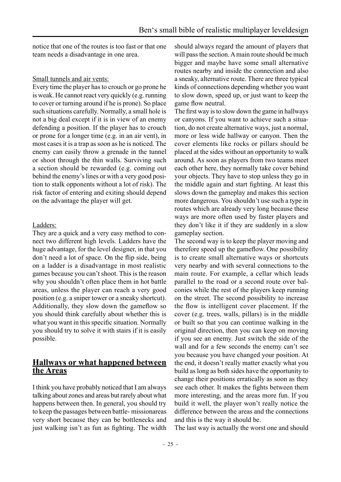<span id="page-24-0"></span>notice that one of the routes is too fast or that one team needs a disadvantage in one area.

#### Small tunnels and air vents:

Every time the player has to crouch or go prone he is weak. He cannot react very quickly (e.g. running to cover or turning around if he is prone). So place such situations carefully. Normally, a small hole is not a big deal except if it is in view of an enemy defending a position. If the player has to crouch or prone for a longer time (e.g. in an air vent), in most cases it is a trap as soon as he is noticed. The enemy can easily throw a grenade in the tunnel or shoot through the thin walls. Surviving such a section should be rewarded (e.g. coming out behind the enemy's lines or with a very good position to stalk opponents without a lot of risk). The risk factor of entering and exiting should depend on the advantage the player will get.

#### Ladders:

They are a quick and a very easy method to connect two different high levels. Ladders have the huge advantage, for the level designer, in that you don't need a lot of space. On the flip side, being on a ladder is a disadvantage in most realistic games because you can't shoot. This is the reason why you shouldn't often place them in hot battle areas, unless the player can reach a very good position (e.g. a sniper tower or a sneaky shortcut). Additionally, they slow down the gameflow so you should think carefully about whether this is what you want in this specific situation. Normally you should try to solve it with stairs if it is easily possible.

#### **Hallways or what happened between the Areas**

I think you have probably noticed that I am always talking about zones and areas but rarely about what happens between then. In general, you should try to keep the passages between battle- missionareas very short because they can be bottlenecks and just walking isn't as fun as fighting. The width

should always regard the amount of players that will pass the section. A main route should be much bigger and maybe have some small alternative routes nearby and inside the connection and also a sneaky, alternative route. There are three typical kinds of connections depending whether you want to slow down, speed up, or just want to keep the game flow neutral.

The first way is to slow down the game in hallways or canyons. If you want to achieve such a situation, do not create alternative ways, just a normal, more or less wide hallway or canyon. Then the cover elements like rocks or pillars should be placed at the sides without an opportunity to walk around. As soon as players from two teams meet each other here, they normally take cover behind your objects. They have to stop unless they go in the middle again and start fighting. At least this slows down the gameplay and makes this section more dangerous. You shouldn't use such a type in routes which are already very long because these ways are more often used by faster players and they don't like it if they are suddenly in a slow gameplay section.

The second way is to keep the player moving and therefore speed up the gameflow. One possibility is to create small alternative ways or shortcuts very nearby and with several connections to the main route. For example, a cellar which leads parallel to the road or a second route over balconies while the rest of the players keep running on the street. The second possibility to increase the flow is intelligent cover placement. If the cover (e.g. trees, walls, pillars) is in the middle or built so that you can continue walking in the original direction, then you can keep on moving if you see an enemy. Just switch the side of the wall and for a few seconds the enemy can't see you because you have changed your position. At the end, it doesn't really matter exactly what you build as long as both sides have the opportunity to change their positions erratically as soon as they see each other. It makes the fights between them more interesting, and the areas more fun. If you build it well, the player won't really notice the difference between the areas and the connections and this is the way it should be.

The last way is actually the worst one and should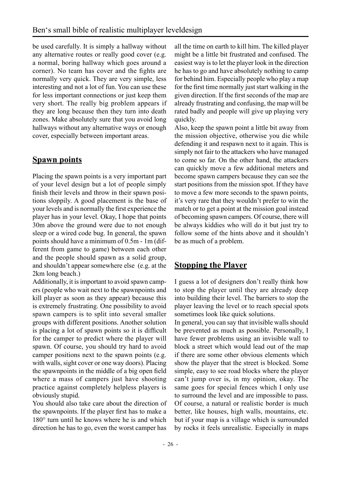<span id="page-25-0"></span>be used carefully. It is simply a hallway without any alternative routes or really good cover (e.g. a normal, boring hallway which goes around a corner). No team has cover and the fights are normally very quick. They are very simple, less interesting and not a lot of fun. You can use these for less important connections or just keep them very short. The really big problem appears if they are long because then they turn into death zones. Make absolutely sure that you avoid long hallways without any alternative ways or enough cover, especially between important areas.

# **Spawn points**

Placing the spawn points is a very important part of your level design but a lot of people simply finish their levels and throw in their spawn positions sloppily. A good placement is the base of your levels and is normally the first experience the player has in your level. Okay, I hope that points 30m above the ground were due to not enough sleep or a wired code bug. In general, the spawn points should have a minimum of 0.5m - 1m (different from game to game) between each other and the people should spawn as a solid group, and shouldn't appear somewhere else (e.g. at the 2km long beach.)

Additionally, it is important to avoid spawn campers (people who wait next to the spawnpoints and kill player as soon as they appear) because this is extremely frustrating. One possibility to avoid spawn campers is to split into several smaller groups with different positions. Another solution is placing a lot of spawn points so it is difficult for the camper to predict where the player will spawn. Of course, you should try hard to avoid camper positions next to the spawn points (e.g. with walls, sight cover or one way doors). Placing the spawnpoints in the middle of a big open field where a mass of campers just have shooting practice against completely helpless players is obviously stupid.

You should also take care about the direction of the spawnpoints. If the player first has to make a 180° turn until he knows where he is and which direction he has to go, even the worst camper has

all the time on earth to kill him. The killed player might be a little bit frustrated and confused. The easiest way is to let the player look in the direction he has to go and have absolutely nothing to camp for behind him. Especially people who play a map for the first time normally just start walking in the given direction. If the first seconds of the map are already frustrating and confusing, the map will be rated badly and people will give up playing very quickly.

Also, keep the spawn point a little bit away from the mission objective, otherwise you die while defending it and respawn next to it again. This is simply not fair to the attackers who have managed to come so far. On the other hand, the attackers can quickly move a few additional meters and become spawn campers because they can see the start positions from the mission spot. If they have to move a few more seconds to the spawn points, it's very rare that they wouldn't prefer to win the match or to get a point at the mission goal instead of becoming spawn campers. Of course, there will be always kiddies who will do it but just try to follow some of the hints above and it shouldn't be as much of a problem.

# **Stopping the Player**

I guess a lot of designers don't really think how to stop the player until they are already deep into building their level. The barriers to stop the player leaving the level or to reach special spots sometimes look like quick solutions.

In general, you can say that invisible walls should be prevented as much as possible. Personally, I have fewer problems using an invisible wall to block a street which would lead out of the map if there are some other obvious elements which show the player that the street is blocked. Some simple, easy to see road blocks where the player can't jump over is, in my opinion, okay. The same goes for special fences which I only use to surround the level and are impossible to pass. Of course, a natural or realistic border is much better, like houses, high walls, mountains, etc. but if your map is a village which is surrounded by rocks it feels unrealistic. Especially in maps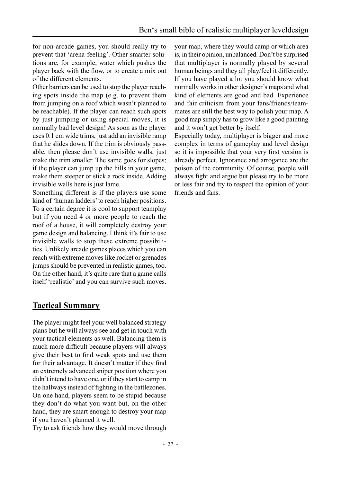<span id="page-26-0"></span>for non-arcade games, you should really try to prevent that 'arena-feeling'. Other smarter solutions are, for example, water which pushes the player back with the flow, or to create a mix out of the different elements.

Other barriers can be used to stop the player reaching spots inside the map (e.g. to prevent them from jumping on a roof which wasn't planned to be reachable). If the player can reach such spots by just jumping or using special moves, it is normally bad level design! As soon as the player uses 0.1 cm wide trims, just add an invisible ramp that he slides down. If the trim is obviously passable, then please don't use invisible walls, just make the trim smaller. The same goes for slopes; if the player can jump up the hills in your game, make them steeper or stick a rock inside. Adding invisible walls here is just lame.

Something different is if the players use some kind of 'human ladders' to reach higher positions. To a certain degree it is cool to support teamplay but if you need 4 or more people to reach the roof of a house, it will completely destroy your game design and balancing. I think it's fair to use invisible walls to stop these extreme possibilities. Unlikely arcade games places which you can reach with extreme moves like rocket or grenades jumps should be prevented in realistic games, too. On the other hand, it's quite rare that a game calls itself 'realistic' and you can survive such moves.

### **Tactical Summary**

The player might feel your well balanced strategy plans but he will always see and get in touch with your tactical elements as well. Balancing them is much more difficult because players will always give their best to find weak spots and use them for their advantage. It doesn't matter if they find an extremely advanced sniper position where you didn't intend to have one, or if they start to camp in the hallways instead of fighting in the battlezones. On one hand, players seem to be stupid because they don't do what you want but, on the other hand, they are smart enough to destroy your map if you haven't planned it well.

Try to ask friends how they would move through

your map, where they would camp or which area is, in their opinion, unbalanced. Don't be surprised that multiplayer is normally played by several human beings and they all play/feel it differently. If you have played a lot you should know what normally works in other designer's maps and what kind of elements are good and bad. Experience and fair criticism from your fans/friends/teammates are still the best way to polish your map. A good map simply has to grow like a good painting and it won't get better by itself.

Especially today, multiplayer is bigger and more complex in terms of gameplay and level design so it is impossible that your very first version is already perfect. Ignorance and arrogance are the poison of the community. Of course, people will always fight and argue but please try to be more or less fair and try to respect the opinion of your friends and fans.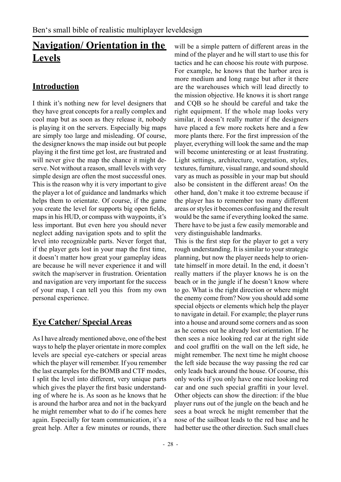# <span id="page-27-0"></span>**Navigation/ Orientation in the Levels**

# **Introduction**

I think it's nothing new for level designers that they have great concepts for a really complex and cool map but as soon as they release it, nobody is playing it on the servers. Especially big maps are simply too large and misleading. Of course, the designer knows the map inside out but people playing it the first time get lost, are frustrated and will never give the map the chance it might deserve. Not without a reason, small levels with very simple design are often the most successful ones. This is the reason why it is very important to give the player a lot of guidance and landmarks which helps them to orientate. Of course, if the game you create the level for supports big open fields, maps in his HUD, or compass with waypoints, it's less important. But even here you should never neglect adding navigation spots and to split the level into recognizable parts. Never forget that, if the player gets lost in your map the first time, it doesn't matter how great your gameplay ideas are because he will never experience it and will switch the map/server in frustration. Orientation and navigation are very important for the success of your map, I can tell you this from my own personal experience.

# **Eye Catcher/ Special Areas**

As I have already mentioned above, one of the best ways to help the player orientate in more complex levels are special eye-catchers or special areas which the player will remember. If you remember the last examples for the BOMB and CTF modes, I split the level into different, very unique parts which gives the player the first basic understanding of where he is. As soon as he knows that he is around the harbor area and not in the backyard he might remember what to do if he comes here again. Especially for team communication, it's a great help. After a few minutes or rounds, there

will be a simple pattern of different areas in the mind of the player and he will start to use this for tactics and he can choose his route with purpose. For example, he knows that the harbor area is more medium and long range but after it there are the warehouses which will lead directly to the mission objective. He knows it is short range and CQB so he should be careful and take the right equipment. If the whole map looks very similar, it doesn't really matter if the designers have placed a few more rockets here and a few more plants there. For the first impression of the player, everything will look the same and the map will become uninteresting or at least frustrating. Light settings, architecture, vegetation, styles, textures, furniture, visual range, and sound should vary as much as possible in your map but should also be consistent in the different areas! On the other hand, don't make it too extreme because if the player has to remember too many different areas or styles it becomes confusing and the result would be the same if everything looked the same. There have to be just a few easily memorable and very distinguishable landmarks.

This is the first step for the player to get a very rough understanding. It is similar to your strategic planning, but now the player needs help to orientate himself in more detail. In the end, it doesn't really matters if the player knows he is on the beach or in the jungle if he doesn't know where to go. What is the right direction or where might the enemy come from? Now you should add some special objects or elements which help the player to navigate in detail. For example; the player runs into a house and around some corners and as soon as he comes out he already lost orientation. If he then sees a nice looking red car at the right side and cool graffiti on the wall on the left side, he might remember. The next time he might choose the left side because the way passing the red car only leads back around the house. Of course, this only works if you only have one nice looking red car and one such special graffiti in your level. Other objects can show the direction: if the blue player runs out of the jungle on the beach and he sees a boat wreck he might remember that the nose of the sailboat leads to the red base and he had better use the other direction. Such small clues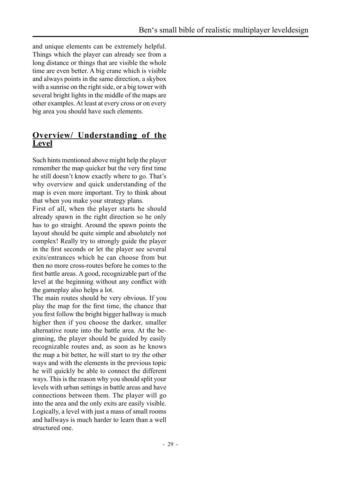<span id="page-28-0"></span>and unique elements can be extremely helpful. Things which the player can already see from a long distance or things that are visible the whole time are even better. A big crane which is visible and always points in the same direction, a skybox with a sunrise on the right side, or a big tower with several bright lights in the middle of the maps are other examples. At least at every cross or on every big area you should have such elements.

### **Overview/ Understanding of the Level**

Such hints mentioned above might help the player remember the map quicker but the very first time he still doesn't know exactly where to go. That's why overview and quick understanding of the map is even more important. Try to think about that when you make your strategy plans.

First of all, when the player starts he should already spawn in the right direction so he only has to go straight. Around the spawn points the layout should be quite simple and absolutely not complex! Really try to strongly guide the player in the first seconds or let the player see several exits/entrances which he can choose from but then no more cross-routes before he comes to the first battle areas. A good, recognizable part of the level at the beginning without any conflict with the gameplay also helps a lot.

The main routes should be very obvious. If you play the map for the first time, the chance that you first follow the bright bigger hallway is much higher then if you choose the darker, smaller alternative route into the battle area. At the beginning, the player should be guided by easily recognizable routes and, as soon as he knows the map a bit better, he will start to try the other ways and with the elements in the previous topic he will quickly be able to connect the different ways. This is the reason why you should split your levels with urban settings in battle areas and have connections between them. The player will go into the area and the only exits are easily visible. Logically, a level with just a mass of small rooms and hallways is much harder to learn than a well structured one.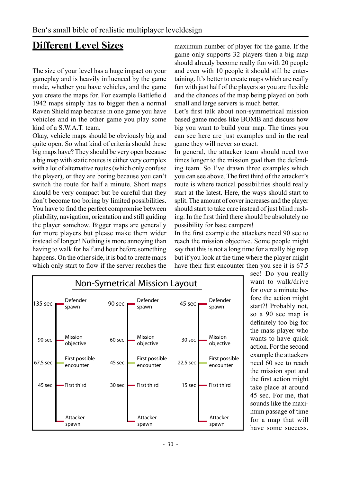# <span id="page-29-0"></span>**Different Level Sizes**

The size of your level has a huge impact on your gameplay and is heavily influenced by the game mode, whether you have vehicles, and the game you create the maps for. For example Battlefield 1942 maps simply has to bigger then a normal Raven Shield map because in one game you have vehicles and in the other game you play some kind of a S.W.A.T. team.

Okay, vehicle maps should be obviously big and quite open. So what kind of criteria should these big maps have? They should be very open because a big map with static routes is either very complex with a lot of alternative routes (which only confuse the player), or they are boring because you can't switch the route for half a minute. Short maps should be very compact but be careful that they don't become too boring by limited possibilities. You have to find the perfect compromise between pliability, navigation, orientation and still guiding the player somehow. Bigger maps are generally for more players but please make them wider instead of longer! Nothing is more annoying than having to walk for half and hour before something happens. On the other side, it is bad to create maps which only start to flow if the server reaches the

maximum number of player for the game. If the game only supports 32 players then a big map should already become really fun with 20 people and even with 10 people it should still be entertaining. It's better to create maps which are really fun with just half of the players so you are flexible and the chances of the map being played on both small and large servers is much better.

Let's first talk about non-symmetrical mission based game modes like BOMB and discuss how big you want to build your map. The times you can see here are just examples and in the real game they will never so exact.

In general, the attacker team should need two times longer to the mission goal than the defending team. So I've drawn three examples which you can see above. The first third of the attacker's route is where tactical possibilities should really start at the latest. Here, the ways should start to split. The amount of cover increases and the player should start to take care instead of just blind rushing. In the first third there should be absolutely no possibility for base campers!

In the first example the attackers need 90 sec to reach the mission objective. Some people might say that this is not a long time for a really big map but if you look at the time where the player might have their first encounter then you see it is 67.5



sec! Do you really want to walk/drive for over a minute before the action might start?! Probably not, so a 90 sec map is definitely too big for the mass player who wants to have quick action. For the second example the attackers need 60 sec to reach the mission spot and the first action might take place at around 45 sec. For me, that sounds like the maximum passage of time for a map that will have some success.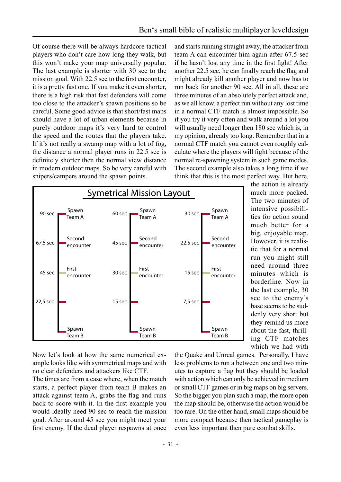Of course there will be always hardcore tactical players who don't care how long they walk, but this won't make your map universally popular. The last example is shorter with 30 sec to the mission goal. With 22.5 sec to the first encounter, it is a pretty fast one. If you make it even shorter, there is a high risk that fast defenders will come too close to the attacker's spawn positions so be careful. Some good advice is that short/fast maps should have a lot of urban elements because in purely outdoor maps it's very hard to control the speed and the routes that the players take. If it's not really a swamp map with a lot of fog. the distance a normal player runs in 22.5 sec is definitely shorter then the normal view distance in modern outdoor maps. So be very careful with snipers/campers around the spawn points.

and starts running straight away, the attacker from team A can encounter him again after 67.5 sec if he hasn't lost any time in the first fight! After another 22.5 sec, he can finally reach the flag and might already kill another player and now has to run back for another 90 sec. All in all, these are three minutes of an absolutely perfect attack and. as we all know, a perfect run without any lost time in a normal CTF match is almost impossible. So if you try it very often and walk around a lot you will usually need longer then 180 sec which is, in my opinion, already too long. Remember that in a normal CTF match you cannot even roughly calculate where the players will fight because of the normal re-spawning system in such game modes. The second example also takes a long time if we think that this is the most perfect way. But here,



the action is already much more packed. The two minutes of intensive possibilities for action sound much better for a big, enjoyable map. However, it is realistic that for a normal run you might still need around three minutes which is borderline. Now in the last example, 30 sec to the enemy's base seems to be suddenly very short but they remind us more about the fast, thrilling CTF matches which we had with

Now let's look at how the same numerical example looks like with symmetrical maps and with no clear defenders and attackers like CTF.

The times are from a case where, when the match starts, a perfect player from team B makes an attack against team A, grabs the flag and runs back to score with it. In the first example you would ideally need 90 sec to reach the mission goal. After around 45 sec you might meet your first enemy. If the dead player respawns at once the Ouake and Unreal games. Personally, I have less problems to run a between one and two minutes to capture a flag but they should be loaded with action which can only be achieved in medium or small CTF games or in big maps on big servers. So the bigger you plan such a map, the more open the map should be, otherwise the action would be too rare. On the other hand, small maps should be more compact because then tactical gameplay is even less important then pure combat skills.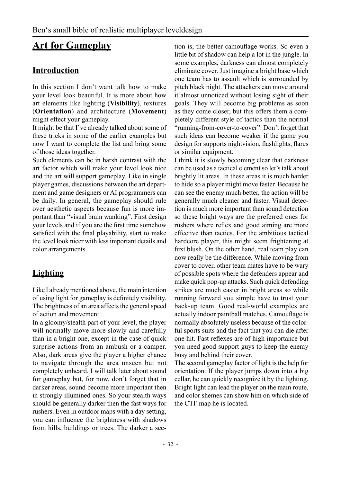# <span id="page-31-0"></span>**Art for Gameplay**

# **Introduction**

In this section I don't want talk how to make your level look beautiful. It is more about how art elements like lighting (**Visibility**), textures (**Orientation**) and architecture (**Movement**) might effect your gameplay.

It might be that I've already talked about some of these tricks in some of the earlier examples but now I want to complete the list and bring some of those ideas together.

Such elements can be in harsh contrast with the art factor which will make your level look nice and the art will support gameplay. Like in single player games, discussions between the art department and game designers or AI programmers can be daily. In general, the gameplay should rule over aesthetic aspects because fun is more important than "visual brain wanking". First design your levels and if you are the first time somehow satisfied with the final playability, start to make the level look nicer with less important details and color arrangements.

# **Lighting**

Like I already mentioned above, the main intention of using light for gameplay is definitely visibility. The brightness of an area affects the general speed of action and movement.

In a gloomy/stealth part of your level, the player will normally move more slowly and carefully than in a bright one, except in the case of quick surprise actions from an ambush or a camper. Also, dark areas give the player a higher chance to navigate through the area unseen but not completely unheard. I will talk later about sound for gameplay but, for now, don't forget that in darker areas, sound become more important then in strongly illumined ones. So your stealth ways should be generally darker then the fast ways for rushers. Even in outdoor maps with a day setting, you can influence the brightness with shadows from hills, buildings or trees. The darker a section is, the better camouflage works. So even a little bit of shadow can help a lot in the jungle. In some examples, darkness can almost completely eliminate cover. Just imagine a bright base which one team has to assault which is surrounded by pitch black night. The attackers can move around it almost unnoticed without losing sight of their goals. They will become big problems as soon as they come closer, but this offers them a completely different style of tactics than the normal "running-from-cover-to-cover". Don't forget that such ideas can become weaker if the game you design for supports nightvision, flashlights, flares or similar equipment.

I think it is slowly becoming clear that darkness can be used as a tactical element so let's talk about brightly lit areas. In these areas it is much harder to hide so a player might move faster. Because he can see the enemy much better, the action will be generally much cleaner and faster. Visual detection is much more important than sound detection so these bright ways are the preferred ones for rushers where reflex and good aiming are more effective than tactics. For the ambitious tactical hardcore player, this might seem frightening at first blush. On the other hand, real team play can now really be the difference. While moving from cover to cover, other team mates have to be wary of possible spots where the defenders appear and make quick pop-up attacks. Such quick defending strikes are much easier in bright areas so while running forward you simple have to trust your back-up team. Good real-world examples are actually indoor paintball matches. Camouflage is normally absolutely useless because of the colorful sports suits and the fact that you can die after one hit. Fast reflexes are of high importance but you need good support guys to keep the enemy busy and behind their cover.

The second gameplay factor of light is the help for orientation. If the player jumps down into a big cellar, he can quickly recognize it by the lighting. Bright light can lead the player on the main route, and color shemes can show him on which side of the CTF map he is located.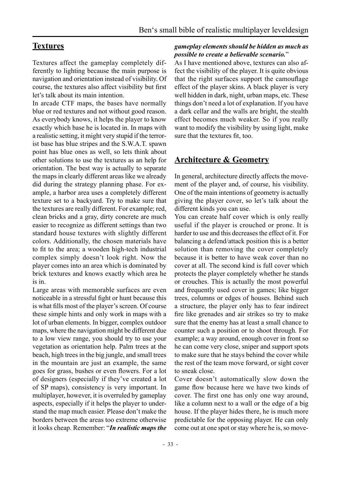## <span id="page-32-0"></span>**Textures**

Textures affect the gameplay completely differently to lighting because the main purpose is navigation and orientation instead of visibility. Of course, the textures also affect visibility but first let's talk about its main intention.

In arcade CTF maps, the bases have normally blue or red textures and not without good reason. As everybody knows, it helps the player to know exactly which base he is located in. In maps with a realistic setting, it might very stupid if the terrorist base has blue stripes and the S.W.A.T. spawn point has blue ones as well, so lets think about other solutions to use the textures as an help for orientation. The best way is actually to separate the maps in clearly different areas like we already did during the strategy planning phase. For example, a harbor area uses a completely different texture set to a backyard. Try to make sure that the textures are really different. For example; red, clean bricks and a gray, dirty concrete are much easier to recognize as different settings than two standard house textures with slightly different colors. Additionally, the chosen materials have to fit to the area; a wooden high-tech industrial complex simply doesn't look right. Now the player comes into an area which is dominated by brick textures and knows exactly which area he is in.

Large areas with memorable surfaces are even noticeable in a stressful fight or hunt because this is what fills most of the player's screen. Of course these simple hints and only work in maps with a lot of urban elements. In bigger, complex outdoor maps, where the navigation might be different due to a low view range, you should try to use your vegetation as orientation help. Palm trees at the beach, high trees in the big jungle, and small trees in the mountain are just an example, the same goes for grass, bushes or even flowers. For a lot of designers (especially if they've created a lot of SP maps), consistency is very important. In multiplayer, however, it is overruled by gameplay aspects, especially if it helps the player to understand the map much easier. Please don't make the borders between the areas too extreme otherwise it looks cheap. Remember: "*In realistic maps the* 

#### *gameplay elements should be hidden as much as possible to create a believable scenario.*"

As I have mentioned above, textures can also affect the visibility of the player. It is quite obvious that the right surfaces support the camouflage effect of the player skins. A black player is very well hidden in dark, night, urban maps, etc. These things don't need a lot of explanation. If you have a dark cellar and the walls are bright, the stealth effect becomes much weaker. So if you really want to modify the visibility by using light, make sure that the textures fit, too.

## **Architecture & Geometry**

In general, architecture directly affects the movement of the player and, of course, his visibility. One of the main intentions of geometry is actually giving the player cover, so let's talk about the different kinds you can use.

You can create half cover which is only really useful if the player is crouched or prone. It is harder to use and this decreases the effect of it. For balancing a defend/attack position this is a better solution than removing the cover completely because it is better to have weak cover than no cover at all. The second kind is full cover which protects the player completely whether he stands or crouches. This is actually the most powerful and frequently used cover in games; like bigger trees, columns or edges of houses. Behind such a structure, the player only has to fear indirect fire like grenades and air strikes so try to make sure that the enemy has at least a small chance to counter such a position or to shoot through. For example; a way around, enough cover in front so he can come very close, sniper and support spots to make sure that he stays behind the cover while the rest of the team move forward, or sight cover to sneak close.

Cover doesn't automatically slow down the game flow because here we have two kinds of cover. The first one has only one way around, like a column next to a wall or the edge of a big house. If the player hides there, he is much more predictable for the opposing player. He can only come out at one spot or stay where he is, so move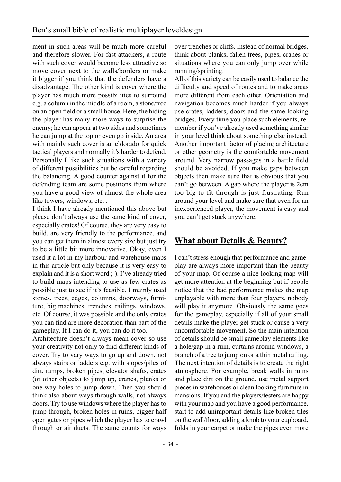<span id="page-33-0"></span>ment in such areas will be much more careful and therefore slower. For fast attackers, a route with such cover would become less attractive so move cover next to the walls/borders or make it bigger if you think that the defenders have a disadvantage. The other kind is cover where the player has much more possibilities to surround e.g. a column in the middle of a room, a stone/tree on an open field or a small house. Here, the hiding the player has many more ways to surprise the enemy; he can appear at two sides and sometimes he can jump at the top or even go inside. An area with mainly such cover is an eldorado for quick tactical players and normally it's harder to defend. Personally I like such situations with a variety of different possibilities but be careful regarding the balancing. A good counter against it for the defending team are some positions from where you have a good view of almost the whole area like towers, windows, etc. .

I think I have already mentioned this above but please don't always use the same kind of cover, especially crates! Of course, they are very easy to build, are very friendly to the performance, and you can get them in almost every size but just try to be a little bit more innovative. Okay, even I used it a lot in my harbour and warehouse maps in this article but only because it is very easy to explain and it is a short word ;-). I've already tried to build maps intending to use as few crates as possible just to see if it's feasible. I mainly used stones, trees, edges, columns, doorways, furniture, big machines, trenches, railings, windows, etc. Of course, it was possible and the only crates you can find are more decoration than part of the gameplay. If I can do it, you can do it too.

Architecture doesn't always mean cover so use your creativity not only to find different kinds of cover. Try to vary ways to go up and down, not always stairs or ladders e.g. with slopes/piles of dirt, ramps, broken pipes, elevator shafts, crates (or other objects) to jump up, cranes, planks or one way holes to jump down. Then you should think also about ways through walls, not always doors. Try to use windows where the player has to jump through, broken holes in ruins, bigger half open gates or pipes which the player has to crawl through or air ducts. The same counts for ways

over trenches or cliffs. Instead of normal bridges, think about planks, fallen trees, pipes, cranes or situations where you can only jump over while running/sprinting.

All of this variety can be easily used to balance the difficulty and speed of routes and to make areas more different from each other. Orientation and navigation becomes much harder if you always use crates, ladders, doors and the same looking bridges. Every time you place such elements, remember if you've already used something similar in your level think about something else instead. Another important factor of placing architecture or other geometry is the comfortable movement around. Very narrow passages in a battle field should be avoided. If you make gaps between objects then make sure that is obvious that you can't go between. A gap where the player is 2cm too big to fit through is just frustrating. Run around your level and make sure that even for an inexperienced player, the movement is easy and you can't get stuck anywhere.

# **What about Details & Beauty?**

I can't stress enough that performance and gameplay are always more important than the beauty of your map. Of course a nice looking map will get more attention at the beginning but if people notice that the bad performance makes the map unplayable with more than four players, nobody will play it anymore. Obviously the same goes for the gameplay, especially if all of your small details make the player get stuck or cause a very uncomfortable movement. So the main intention of details should be small gameplay elements like a hole/gap in a ruin, curtains around windows, a branch of a tree to jump on or a thin metal railing. The next intention of details is to create the right atmosphere. For example, break walls in ruins and place dirt on the ground, use metal support pieces in warehouses or clean looking furniture in mansions. If you and the players/testers are happy with your map and you have a good performance, start to add unimportant details like broken tiles on the wall/floor, adding a knob to your cupboard, folds in your carpet or make the pipes even more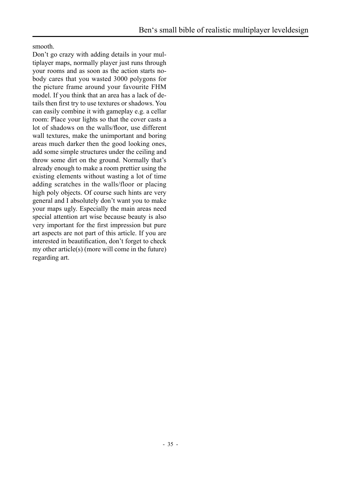smooth.

Don't go crazy with adding details in your multiplayer maps, normally player just runs through your rooms and as soon as the action starts nobody cares that you wasted 3000 polygons for the picture frame around your favourite FHM model. If you think that an area has a lack of details then first try to use textures or shadows. You can easily combine it with gameplay e.g. a cellar room: Place your lights so that the cover casts a lot of shadows on the walls/floor, use different wall textures, make the unimportant and boring areas much darker then the good looking ones, add some simple structures under the ceiling and throw some dirt on the ground. Normally that's already enough to make a room prettier using the existing elements without wasting a lot of time adding scratches in the walls/floor or placing high poly objects. Of course such hints are very general and I absolutely don't want you to make your maps ugly. Especially the main areas need special attention art wise because beauty is also very important for the first impression but pure art aspects are not part of this article. If you are interested in beautification, don't forget to check my other article(s) (more will come in the future) regarding art.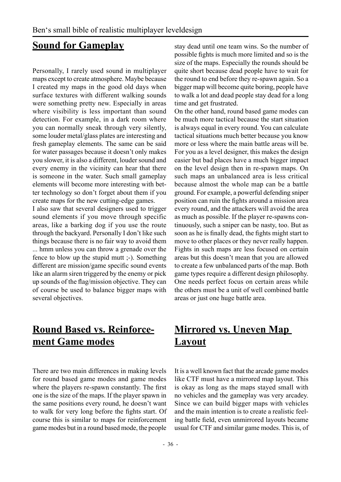# <span id="page-35-0"></span>**Sound for Gameplay**

Personally, I rarely used sound in multiplayer maps except to create atmosphere. Maybe because I created my maps in the good old days when surface textures with different walking sounds were something pretty new. Especially in areas where visibility is less important than sound detection. For example, in a dark room where you can normally sneak through very silently, some louder metal/glass plates are interesting and fresh gameplay elements. The same can be said for water passages because it doesn't only makes you slower, it is also a different, louder sound and every enemy in the vicinity can hear that there is someone in the water. Such small gameplay elements will become more interesting with better technology so don't forget about them if you create maps for the new cutting-edge games.

I also saw that several designers used to trigger sound elements if you move through specific areas, like a barking dog if you use the route through the backyard. Personally I don't like such things because there is no fair way to avoid them

... hmm unless you can throw a grenade over the fence to blow up the stupid mutt ;-). Something different are mission/game specific sound events like an alarm siren triggered by the enemy or pick up sounds of the flag/mission objective. They can of course be used to balance bigger maps with several objectives.

stay dead until one team wins. So the number of possible fights is much more limited and so is the size of the maps. Especially the rounds should be quite short because dead people have to wait for the round to end before they re-spawn again. So a bigger map will become quite boring, people have to walk a lot and dead people stay dead for a long time and get frustrated.

On the other hand, round based game modes can be much more tactical because the start situation is always equal in every round. You can calculate tactical situations much better because you know more or less where the main battle areas will be. For you as a level designer, this makes the design easier but bad places have a much bigger impact on the level design then in re-spawn maps. On such maps an unbalanced area is less critical because almost the whole map can be a battle ground. For example, a powerful defending sniper position can ruin the fights around a mission area every round, and the attackers will avoid the area as much as possible. If the player re-spawns continuously, such a sniper can be nasty, too. But as soon as he is finally dead, the fights might start to move to other places or they never really happen. Fights in such maps are less focused on certain areas but this doesn't mean that you are allowed to create a few unbalanced parts of the map. Both game types require a different design philosophy. One needs perfect focus on certain areas while the others must be a unit of well combined battle areas or just one huge battle area.

# **Round Based vs. Reinforcement Game modes**

There are two main differences in making levels for round based game modes and game modes where the players re-spawn constantly. The first one is the size of the maps. If the player spawn in the same positions every round, he doesn't want to walk for very long before the fights start. Of course this is similar to maps for reinforcement game modes but in a round based mode, the people

# **Mirrored vs. Uneven Map Layout**

It is a well known fact that the arcade game modes like CTF must have a mirrored map layout. This is okay as long as the maps stayed small with no vehicles and the gameplay was very arcadey. Since we can build bigger maps with vehicles and the main intention is to create a realistic feeling battle field, even unmirrored layouts became usual for CTF and similar game modes. This is, of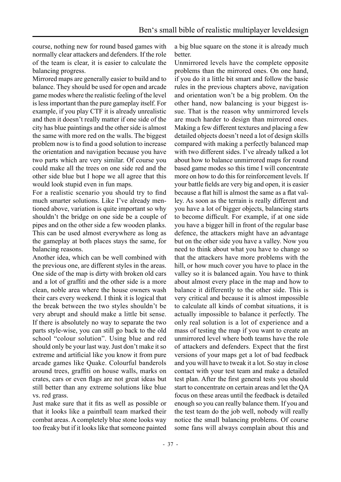course, nothing new for round based games with normally clear attackers and defenders. If the role of the team is clear, it is easier to calculate the balancing progress.

Mirrored maps are generally easier to build and to balance. They should be used for open and arcade game modes where the realistic feeling of the level is less important than the pure gameplay itself. For example, if you play CTF it is already unrealistic and then it doesn't really matter if one side of the city has blue paintings and the other side is almost the same with more red on the walls. The biggest problem now is to find a good solution to increase the orientation and navigation because you have two parts which are very similar. Of course you could make all the trees on one side red and the other side blue but I hope we all agree that this would look stupid even in fun maps.

For a realistic scenario you should try to find much smarter solutions. Like I've already mentioned above, variation is quite important so why shouldn't the bridge on one side be a couple of pipes and on the other side a few wooden planks. This can be used almost everywhere as long as the gameplay at both places stays the same, for balancing reasons.

Another idea, which can be well combined with the previous one, are different styles in the areas. One side of the map is dirty with broken old cars and a lot of graffiti and the other side is a more clean, noble area where the house owners wash their cars every weekend. I think it is logical that the break between the two styles shouldn't be very abrupt and should make a little bit sense. If there is absolutely no way to separate the two parts style-wise, you can still go back to the old school "colour solution". Using blue and red should only be your last way. Just don't make it so extreme and artificial like you know it from pure arcade games like Quake. Colourful banderols around trees, graffiti on house walls, marks on crates, cars or even flags are not great ideas but still better than any extreme solutions like blue vs. red grass.

Just make sure that it fits as well as possible or that it looks like a paintball team marked their combat areas. A completely blue stone looks way too freaky but if it looks like that someone painted

a big blue square on the stone it is already much better.

Unmirrored levels have the complete opposite problems than the mirrored ones. On one hand, if you do it a little bit smart and follow the basic rules in the previous chapters above, navigation and orientation won't be a big problem. On the other hand, now balancing is your biggest issue. That is the reason why unmirrored levels are much harder to design than mirrored ones. Making a few different textures and placing a few detailed objects doesn't need a lot of design skills compared with making a perfectly balanced map with two different sides. I've already talked a lot about how to balance unmirrored maps for round based game modes so this time I will concentrate more on how to do this for reinforcement levels. If your battle fields are very big and open, it is easier because a flat hill is almost the same as a flat valley. As soon as the terrain is really different and you have a lot of bigger objects, balancing starts to become difficult. For example, if at one side you have a bigger hill in front of the regular base defence, the attackers might have an advantage but on the other side you have a valley. Now you need to think about what you have to change so that the attackers have more problems with the hill, or how much cover you have to place in the valley so it is balanced again. You have to think about almost every place in the map and how to balance it differently to the other side. This is very critical and because it is almost impossible to calculate all kinds of combat situations, it is actually impossible to balance it perfectly. The only real solution is a lot of experience and a mass of testing the map if you want to create an unmirrored level where both teams have the role of attackers and defenders. Expect that the first versions of your maps get a lot of bad feedback and you will have to tweak it a lot. So stay in close contact with your test team and make a detailed test plan. After the first general tests you should start to concentrate on certain areas and let the QA focus on these areas until the feedback is detailed enough so you can really balance them. If you and the test team do the job well, nobody will really notice the small balancing problems. Of course some fans will always complain about this and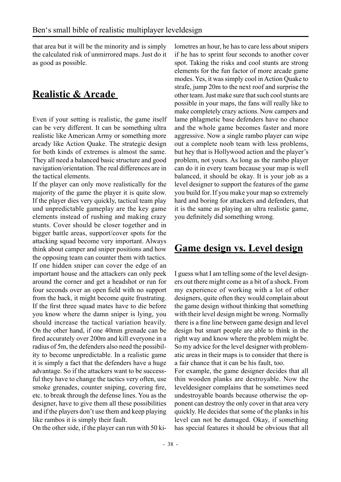<span id="page-37-0"></span>that area but it will be the minority and is simply the calculated risk of unmirrored maps. Just do it as good as possible.

# **Realistic & Arcade**

Even if your setting is realistic, the game itself can be very different. It can be something ultra realistic like American Army or something more arcady like Action Quake. The strategic design for both kinds of extremes is almost the same. They all need a balanced basic structure and good navigation/orientation. The real differences are in the tactical elements.

If the player can only move realistically for the majority of the game the player it is quite slow. If the player dies very quickly, tactical team play und unpredictable gameplay are the key game elements instead of rushing and making crazy stunts. Cover should be closer together and in bigger battle areas, support/cover spots for the attacking squad become very important. Always think about camper and sniper positions and how the opposing team can counter them with tactics. If one hidden sniper can cover the edge of an important house and the attackers can only peek around the corner and get a headshot or run for four seconds over an open field with no support from the back, it might become quite frustrating. If the first three squad mates have to die before you know where the damn sniper is lying, you should increase the tactical variation heavily. On the other hand, if one 40mm grenade can be fired accurately over 200m and kill everyone in a radius of 5m, the defenders also need the possibility to become unpredictable. In a realistic game it is simply a fact that the defenders have a huge advantage. So if the attackers want to be successful they have to change the tactics very often, use smoke grenades, counter sniping, covering fire, etc. to break through the defense lines. You as the designer, have to give them all these possibilities and if the players don't use them and keep playing like rambos it is simply their fault.

On the other side, if the player can run with 50 ki-

lometres an hour, he has to care less about snipers if he has to sprint four seconds to another cover spot. Taking the risks and cool stunts are strong elements for the fun factor of more arcade game modes. Yes, it was simply cool in Action Quake to strafe, jump 20m to the next roof and surprise the other team. Just make sure that such cool stunts are possible in your maps, the fans will really like to make completely crazy actions. Now campers and lame phlagmetic base defenders have no chance and the whole game becomes faster and more aggressive. Now a single rambo player can wipe out a complete noob team with less problems, but hey that is Hollywood action and the player's problem, not yours. As long as the rambo player can do it in every team because your map is well balanced, it should be okay. It is your job as a level designer to support the features of the game you build for. If you make your map so extremely hard and boring for attackers and defenders, that it is the same as playing an ultra realistic game, you definitely did something wrong.

# **Game design vs. Level design**

I guess what I am telling some of the level designers out there might come as a bit of a shock. From my experience of working with a lot of other designers, quite often they would complain about the game design without thinking that something with their level design might be wrong. Normally there is a fine line between game design and level design but smart people are able to think in the right way and know where the problem might be. So my advice for the level designer with problematic areas in their maps is to consider that there is a fair chance that it can be his fault, too.

For example, the game designer decides that all thin wooden planks are destroyable. Now the leveldesigner complains that he sometimes need undestroyable boards because otherwise the opponent can destroy the only cover in that area very quickly. He decides that some of the planks in his level can not be damaged. Okay, if something has special features it should be obvious that all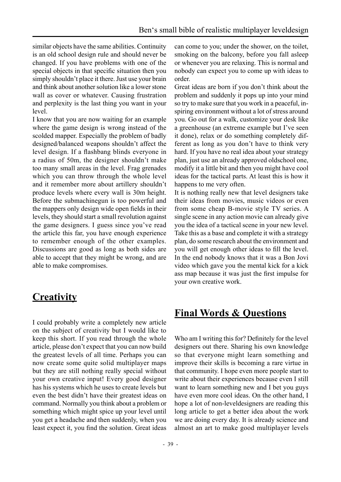<span id="page-38-0"></span>similar objects have the same abilities. Continuity is an old school design rule and should never be changed. If you have problems with one of the special objects in that specific situation then you simply shouldn't place it there. Just use your brain and think about another solution like a lower stone wall as cover or whatever. Causing frustration and perplexity is the last thing you want in your level.

I know that you are now waiting for an example where the game design is wrong instead of the scolded mapper. Especially the problem of badly designed/balanced weapons shouldn't affect the level design. If a flashbang blinds everyone in a radius of 50m, the designer shouldn't make too many small areas in the level. Frag grenades which you can throw through the whole level and it remember more about artillery shouldn't produce levels where every wall is 30m height. Before the submachinegun is too powerful and the mappers only design wide open fields in their levels, they should start a small revolution against the game designers. I guess since you've read the article this far, you have enough experience to remember enough of the other examples. Discussions are good as long as both sides are able to accept that they might be wrong, and are able to make compromises.

# **Creativity**

I could probably write a completely new article on the subject of creativity but I would like to keep this short. If you read through the whole article, please don't expect that you can now build the greatest levels of all time. Perhaps you can now create some quite solid multiplayer maps but they are still nothing really special without your own creative input! Every good designer has his systems which he uses to create levels but even the best didn't have their greatest ideas on command. Normally you think about a problem or something which might spice up your level until you get a headache and then suddenly, when you least expect it, you find the solution. Great ideas

can come to you; under the shower, on the toilet, smoking on the balcony, before you fall asleep or whenever you are relaxing. This is normal and nobody can expect you to come up with ideas to order.

Great ideas are born if you don't think about the problem and suddenly it pops up into your mind so try to make sure that you work in a peaceful, inspiring environment without a lot of stress around you. Go out for a walk, customize your desk like a greenhouse (an extreme example but I've seen it done), relax or do something completely different as long as you don't have to think very hard. If you have no real idea about your strategy plan, just use an already approved oldschool one, modify it a little bit and then you might have cool ideas for the tactical parts. At least this is how it happens to me very often.

It is nothing really new that level designers take their ideas from movies, music videos or even from some cheap B-movie style TV series. A single scene in any action movie can already give you the idea of a tactical scene in your new level. Take this as a base and complete it with a strategy plan, do some research about the environment and you will get enough other ideas to fill the level. In the end nobody knows that it was a Bon Jovi video which gave you the mental kick for a kick ass map because it was just the first impulse for your own creative work.

# **Final Words & Questions**

Who am I writing this for? Definitely for the level designers out there. Sharing his own knowledge so that everyone might learn something and improve their skills is becoming a rare virtue in that community. I hope even more people start to write about their experiences because even I still want to learn something new and I bet you guys have even more cool ideas. On the other hand, I hope a lot of non-leveldesigners are reading this long article to get a better idea about the work we are doing every day. It is already science and almost an art to make good multiplayer levels